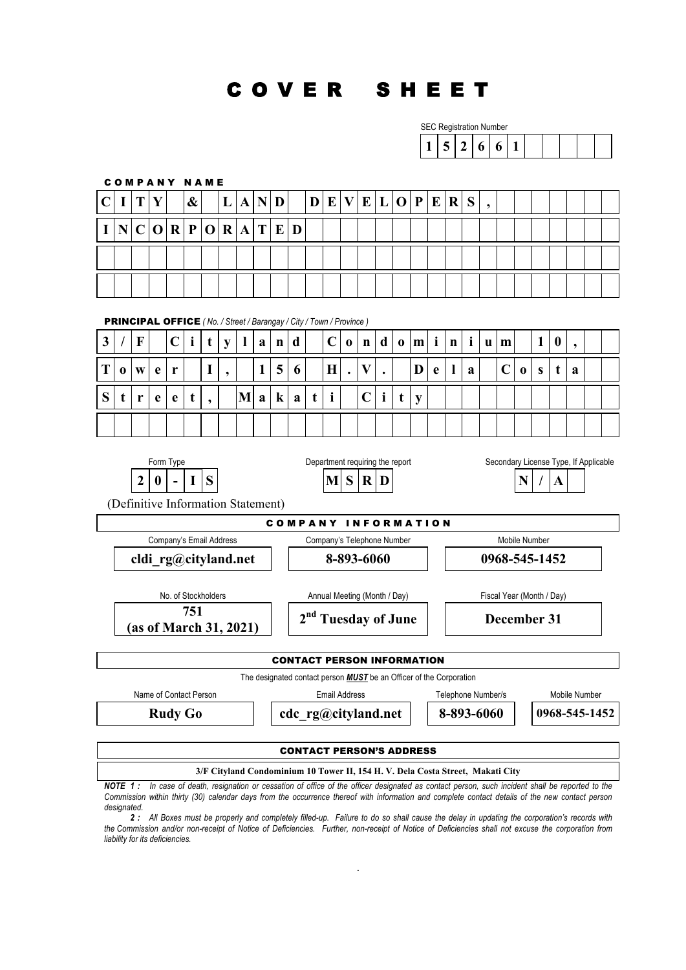# C O V E R S H E E T

| <b>SEC Registration Number</b> |  |  |  |  |  |
|--------------------------------|--|--|--|--|--|
| 15266'                         |  |  |  |  |  |



*NOTE 1 : In case of death, resignation or cessation of office of the officer designated as contact person, such incident shall be reported to the Commission within thirty (30) calendar days from the occurrence thereof with information and complete contact details of the new contact person designated.*

*2 : All Boxes must be properly and completely filled-up. Failure to do so shall cause the delay in updating the corporation's records with the Commission and/or non-receipt of Notice of Deficiencies. Further, non-receipt of Notice of Deficiencies shall not excuse the corporation from liability for its deficiencies.*

**.**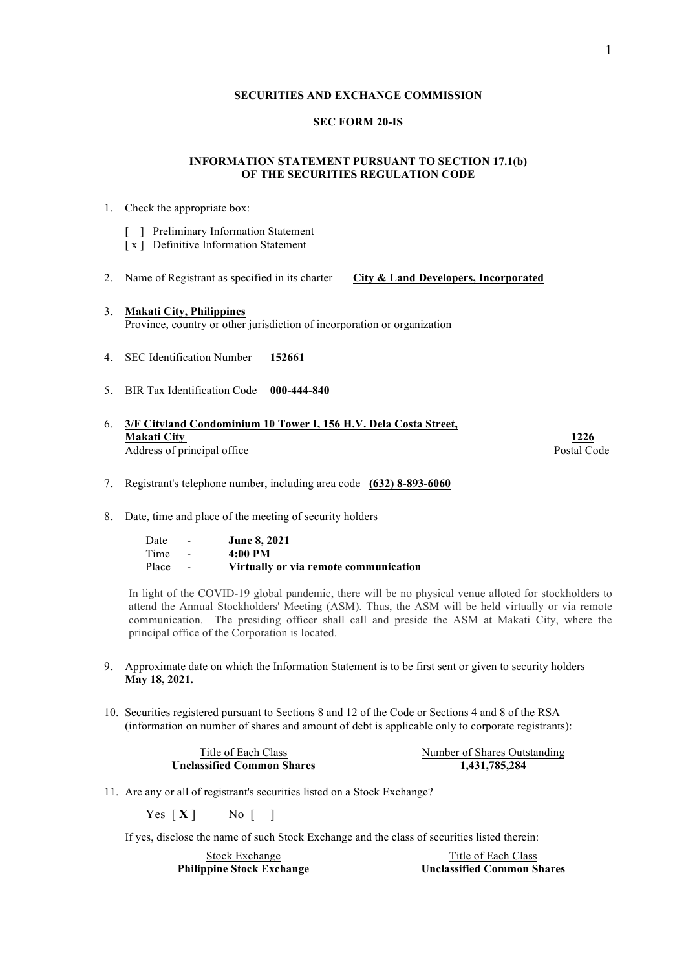# **SECURITIES AND EXCHANGE COMMISSION**

# **SEC FORM 20-IS**

# **INFORMATION STATEMENT PURSUANT TO SECTION 17.1(b) OF THE SECURITIES REGULATION CODE**

- 1. Check the appropriate box:
	- [ ] Preliminary Information Statement
	- [ x ] Definitive Information Statement
- 2. Name of Registrant as specified in its charter **City & Land Developers, Incorporated**
- 3. **Makati City, Philippines** Province, country or other jurisdiction of incorporation or organization
- 4. SEC Identification Number **152661**
- 5. BIR Tax Identification Code **000-444-840**
- 6. **3/F Cityland Condominium 10 Tower I, 156 H.V. Dela Costa Street, Makati City 1226** Address of principal office Postal Code Postal Code
- 7. Registrant's telephone number, including area code **(632) 8-893-6060**
- 8. Date, time and place of the meeting of security holders

Date - **June 8, 2021** Time - **4:00 PM** Place - **Virtually or via remote communication**

In light of the COVID-19 global pandemic, there will be no physical venue alloted for stockholders to attend the Annual Stockholders' Meeting (ASM). Thus, the ASM will be held virtually or via remote communication. The presiding officer shall call and preside the ASM at Makati City, where the principal office of the Corporation is located.

- 9. Approximate date on which the Information Statement is to be first sent or given to security holders **May 18, 2021.**
- 10. Securities registered pursuant to Sections 8 and 12 of the Code or Sections 4 and 8 of the RSA (information on number of shares and amount of debt is applicable only to corporate registrants):

Title of Each Class Number of Shares Outstanding **Unclassified Common Shares 1,431,785,284**

11. Are any or all of registrant's securities listed on a Stock Exchange?

Yes  $[X]$  No  $[$  1

If yes, disclose the name of such Stock Exchange and the class of securities listed therein:

**Philippine Stock Exchange** 

Stock Exchange<br> **Stock Exchange** Title of Each Class<br> **The Stock Exchange** The Stock Exchange The Stock Exchange The Stock Exchange The Stock Exchange The Stock Exchange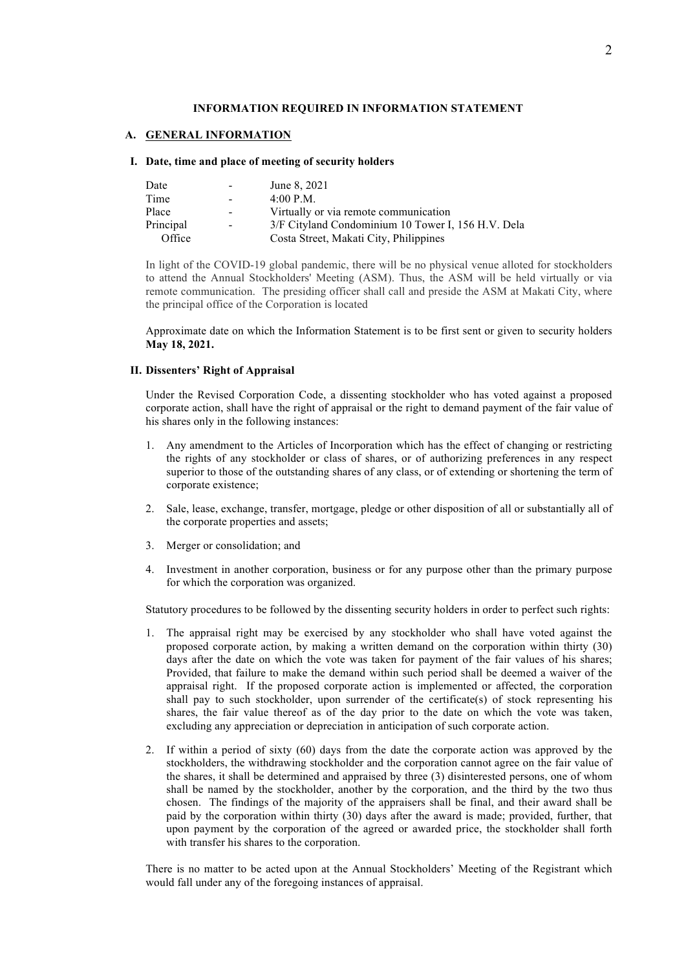# **INFORMATION REQUIRED IN INFORMATION STATEMENT**

#### **A. GENERAL INFORMATION**

#### **I. Date, time and place of meeting of security holders**

| Date      | $\sim$ | June 8, 2021                                       |
|-----------|--------|----------------------------------------------------|
| Time      | $\sim$ | 4:00 P.M.                                          |
| Place     | $\sim$ | Virtually or via remote communication              |
| Principal | $\sim$ | 3/F Cityland Condominium 10 Tower I, 156 H.V. Dela |
| Office    |        | Costa Street, Makati City, Philippines             |

In light of the COVID-19 global pandemic, there will be no physical venue alloted for stockholders to attend the Annual Stockholders' Meeting (ASM). Thus, the ASM will be held virtually or via remote communication. The presiding officer shall call and preside the ASM at Makati City, where the principal office of the Corporation is located

Approximate date on which the Information Statement is to be first sent or given to security holders **May 18, 2021.**

## **II. Dissenters' Right of Appraisal**

Under the Revised Corporation Code, a dissenting stockholder who has voted against a proposed corporate action, shall have the right of appraisal or the right to demand payment of the fair value of his shares only in the following instances:

- 1. Any amendment to the Articles of Incorporation which has the effect of changing or restricting the rights of any stockholder or class of shares, or of authorizing preferences in any respect superior to those of the outstanding shares of any class, or of extending or shortening the term of corporate existence;
- 2. Sale, lease, exchange, transfer, mortgage, pledge or other disposition of all or substantially all of the corporate properties and assets;
- 3. Merger or consolidation; and
- 4. Investment in another corporation, business or for any purpose other than the primary purpose for which the corporation was organized.

Statutory procedures to be followed by the dissenting security holders in order to perfect such rights:

- 1. The appraisal right may be exercised by any stockholder who shall have voted against the proposed corporate action, by making a written demand on the corporation within thirty (30) days after the date on which the vote was taken for payment of the fair values of his shares; Provided, that failure to make the demand within such period shall be deemed a waiver of the appraisal right. If the proposed corporate action is implemented or affected, the corporation shall pay to such stockholder, upon surrender of the certificate(s) of stock representing his shares, the fair value thereof as of the day prior to the date on which the vote was taken, excluding any appreciation or depreciation in anticipation of such corporate action.
- 2. If within a period of sixty (60) days from the date the corporate action was approved by the stockholders, the withdrawing stockholder and the corporation cannot agree on the fair value of the shares, it shall be determined and appraised by three (3) disinterested persons, one of whom shall be named by the stockholder, another by the corporation, and the third by the two thus chosen. The findings of the majority of the appraisers shall be final, and their award shall be paid by the corporation within thirty (30) days after the award is made; provided, further, that upon payment by the corporation of the agreed or awarded price, the stockholder shall forth with transfer his shares to the corporation.

There is no matter to be acted upon at the Annual Stockholders' Meeting of the Registrant which would fall under any of the foregoing instances of appraisal.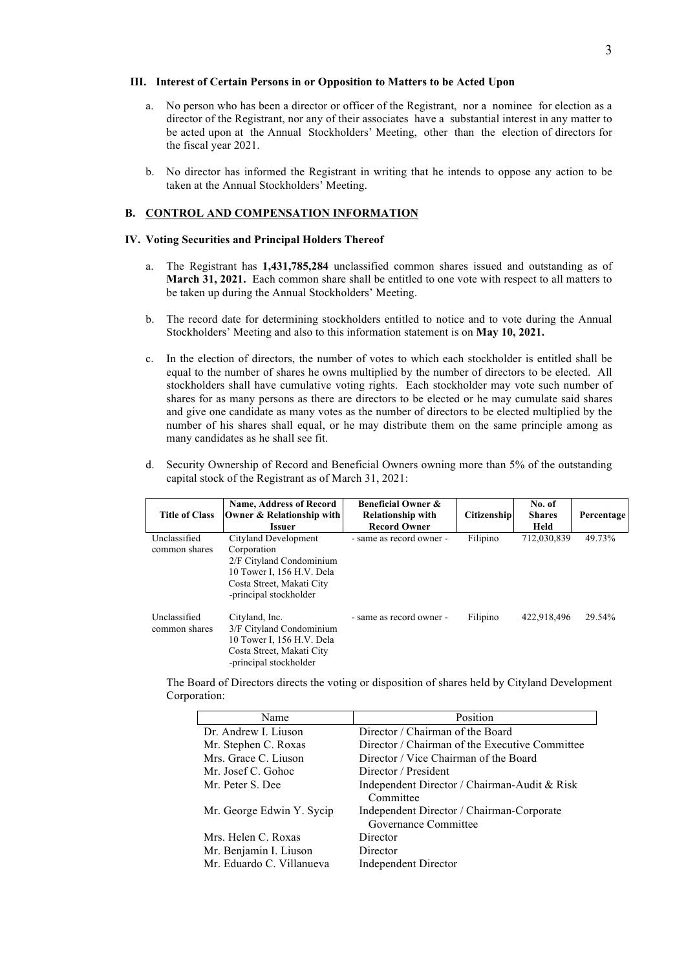# **III. Interest of Certain Persons in or Opposition to Matters to be Acted Upon**

- a. No person who has been a director or officer of the Registrant, nor a nominee for election as a director of the Registrant, nor any of their associates have a substantial interest in any matter to be acted upon at the Annual Stockholders' Meeting, other than the election of directors for the fiscal year 2021.
- b. No director has informed the Registrant in writing that he intends to oppose any action to be taken at the Annual Stockholders' Meeting.

#### **B. CONTROL AND COMPENSATION INFORMATION**

#### **IV. Voting Securities and Principal Holders Thereof**

- a. The Registrant has **1,431,785,284** unclassified common shares issued and outstanding as of **March 31, 2021.** Each common share shall be entitled to one vote with respect to all matters to be taken up during the Annual Stockholders' Meeting.
- b. The record date for determining stockholders entitled to notice and to vote during the Annual Stockholders' Meeting and also to this information statement is on **May 10, 2021.**
- c. In the election of directors, the number of votes to which each stockholder is entitled shall be equal to the number of shares he owns multiplied by the number of directors to be elected. All stockholders shall have cumulative voting rights. Each stockholder may vote such number of shares for as many persons as there are directors to be elected or he may cumulate said shares and give one candidate as many votes as the number of directors to be elected multiplied by the number of his shares shall equal, or he may distribute them on the same principle among as many candidates as he shall see fit.
- d. Security Ownership of Record and Beneficial Owners owning more than 5% of the outstanding capital stock of the Registrant as of March 31, 2021:

| <b>Title of Class</b>         | <b>Name, Address of Record</b><br>Owner & Relationship with<br><b>Issuer</b>                                                                        | <b>Beneficial Owner &amp;</b><br><b>Relationship with</b><br><b>Record Owner</b> | <b>Citizenship</b> | No. of<br><b>Shares</b><br>Held | Percentage |
|-------------------------------|-----------------------------------------------------------------------------------------------------------------------------------------------------|----------------------------------------------------------------------------------|--------------------|---------------------------------|------------|
| Unclassified<br>common shares | Cityland Development<br>Corporation<br>2/F Cityland Condominium<br>10 Tower I, 156 H.V. Dela<br>Costa Street, Makati City<br>-principal stockholder | - same as record owner -                                                         | Filipino           | 712,030,839                     | 49.73%     |
| Unclassified<br>common shares | Cityland, Inc.<br>3/F Cityland Condominium<br>10 Tower I, 156 H.V. Dela<br>Costa Street, Makati City<br>-principal stockholder                      | - same as record owner -                                                         | Filipino           | 422,918,496                     | 29.54%     |

The Board of Directors directs the voting or disposition of shares held by Cityland Development Corporation:

| Director / Chairman of the Board<br>Dr. Andrew I. Liuson<br>Director / Chairman of the Executive Committee<br>Mr. Stephen C. Roxas<br>Mrs. Grace C. Liuson<br>Director / Vice Chairman of the Board |
|-----------------------------------------------------------------------------------------------------------------------------------------------------------------------------------------------------|
|                                                                                                                                                                                                     |
|                                                                                                                                                                                                     |
|                                                                                                                                                                                                     |
| Director / President<br>Mr. Josef C. Gohoc                                                                                                                                                          |
| Independent Director / Chairman-Audit & Risk<br>Mr. Peter S. Dee                                                                                                                                    |
| Committee                                                                                                                                                                                           |
| Mr. George Edwin Y. Sycip<br>Independent Director / Chairman-Corporate                                                                                                                              |
| Governance Committee                                                                                                                                                                                |
| Mrs. Helen C. Roxas<br>Director                                                                                                                                                                     |
| Mr. Benjamin I. Liuson<br>Director                                                                                                                                                                  |
| Mr. Eduardo C. Villanueva<br><b>Independent Director</b>                                                                                                                                            |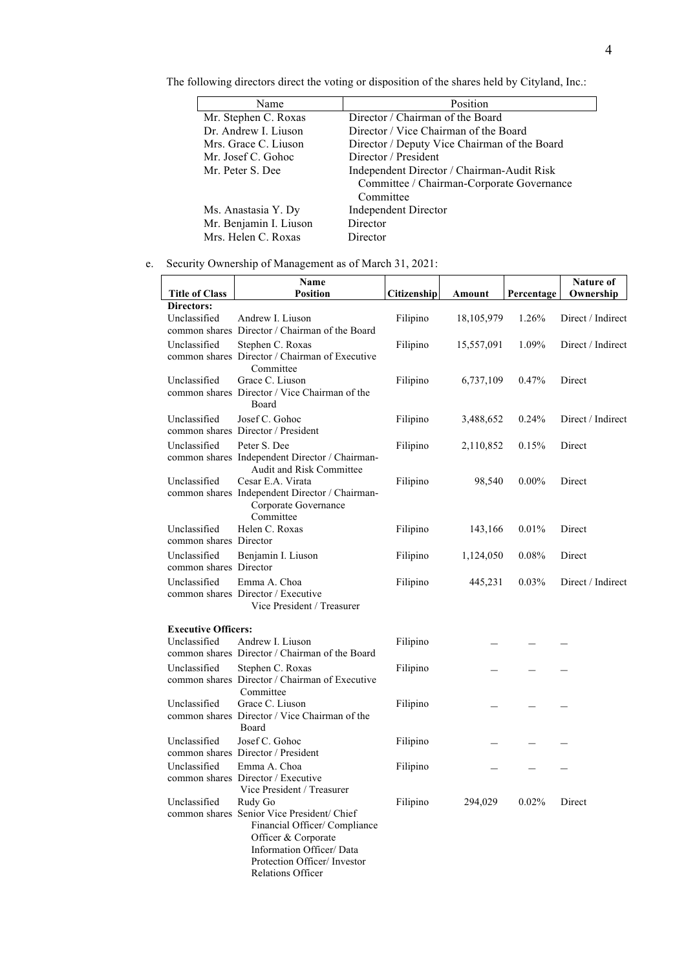| Name                   | Position                                     |
|------------------------|----------------------------------------------|
| Mr. Stephen C. Roxas   | Director / Chairman of the Board             |
| Dr. Andrew L. Liuson   | Director / Vice Chairman of the Board        |
| Mrs. Grace C. Liuson   | Director / Deputy Vice Chairman of the Board |
| Mr. Josef C. Gohoc     | Director / President                         |
| Mr. Peter S. Dee       | Independent Director / Chairman-Audit Risk   |
|                        | Committee / Chairman-Corporate Governance    |
|                        | Committee                                    |
| Ms. Anastasia Y. Dy    | <b>Independent Director</b>                  |
| Mr. Benjamin I. Liuson | Director                                     |
| Mrs. Helen C. Roxas    | Director                                     |
|                        |                                              |

The following directors direct the voting or disposition of the shares held by Cityland, Inc.:

e. Security Ownership of Management as of March 31, 2021:

|                            | Name                                                                                |             |              |            | <b>Nature of</b>  |
|----------------------------|-------------------------------------------------------------------------------------|-------------|--------------|------------|-------------------|
| <b>Title of Class</b>      | <b>Position</b>                                                                     | Citizenship | Amount       | Percentage | Ownership         |
| Directors:                 |                                                                                     |             |              |            |                   |
| Unclassified               | Andrew I. Liuson                                                                    | Filipino    | 18, 105, 979 | 1.26%      | Direct / Indirect |
|                            | common shares Director / Chairman of the Board                                      |             |              |            |                   |
| Unclassified               | Stephen C. Roxas                                                                    | Filipino    | 15,557,091   | 1.09%      | Direct / Indirect |
|                            | common shares Director / Chairman of Executive<br>Committee                         |             |              |            |                   |
| Unclassified               | Grace C. Liuson                                                                     | Filipino    | 6,737,109    | 0.47%      | Direct            |
|                            | common shares Director / Vice Chairman of the<br>Board                              |             |              |            |                   |
| Unclassified               | Josef C. Gohoc                                                                      | Filipino    | 3,488,652    | 0.24%      | Direct / Indirect |
|                            | common shares Director / President                                                  |             |              |            |                   |
| Unclassified               | Peter S. Dee                                                                        | Filipino    | 2,110,852    | 0.15%      | Direct            |
|                            | common shares Independent Director / Chairman-<br><b>Audit and Risk Committee</b>   |             |              |            |                   |
| Unclassified               | Cesar E.A. Virata                                                                   | Filipino    | 98,540       | $0.00\%$   | Direct            |
|                            | common shares Independent Director / Chairman-<br>Corporate Governance<br>Committee |             |              |            |                   |
| Unclassified               | Helen C. Roxas                                                                      | Filipino    | 143,166      | 0.01%      | Direct            |
| common shares Director     |                                                                                     |             |              |            |                   |
| Unclassified               | Benjamin I. Liuson                                                                  | Filipino    | 1,124,050    | 0.08%      | Direct            |
| common shares Director     |                                                                                     |             |              |            |                   |
| Unclassified               | Emma A. Choa                                                                        | Filipino    | 445,231      | 0.03%      | Direct / Indirect |
|                            | common shares Director / Executive                                                  |             |              |            |                   |
|                            | Vice President / Treasurer                                                          |             |              |            |                   |
| <b>Executive Officers:</b> |                                                                                     |             |              |            |                   |
| Unclassified               | Andrew I. Liuson                                                                    | Filipino    |              |            |                   |
|                            | common shares Director / Chairman of the Board                                      |             |              |            |                   |
| Unclassified               | Stephen C. Roxas                                                                    | Filipino    |              |            |                   |
|                            | common shares Director / Chairman of Executive                                      |             |              |            |                   |
|                            | Committee                                                                           |             |              |            |                   |
| Unclassified               | Grace C. Liuson                                                                     | Filipino    |              |            |                   |
|                            | common shares Director / Vice Chairman of the                                       |             |              |            |                   |
|                            | Board                                                                               |             |              |            |                   |
| Unclassified               | Josef C. Gohoc                                                                      | Filipino    |              |            |                   |
|                            | common shares Director / President                                                  |             |              |            |                   |
| Unclassified               | Emma A. Choa                                                                        | Filipino    |              |            |                   |
|                            | common shares Director / Executive<br>Vice President / Treasurer                    |             |              |            |                   |
| Unclassified               | Rudy Go                                                                             | Filipino    | 294,029      | 0.02%      | Direct            |
|                            | common shares Senior Vice President/ Chief                                          |             |              |            |                   |
|                            | Financial Officer/Compliance                                                        |             |              |            |                   |
|                            | Officer & Corporate                                                                 |             |              |            |                   |
|                            | Information Officer/Data                                                            |             |              |            |                   |
|                            | Protection Officer/Investor                                                         |             |              |            |                   |
|                            | <b>Relations Officer</b>                                                            |             |              |            |                   |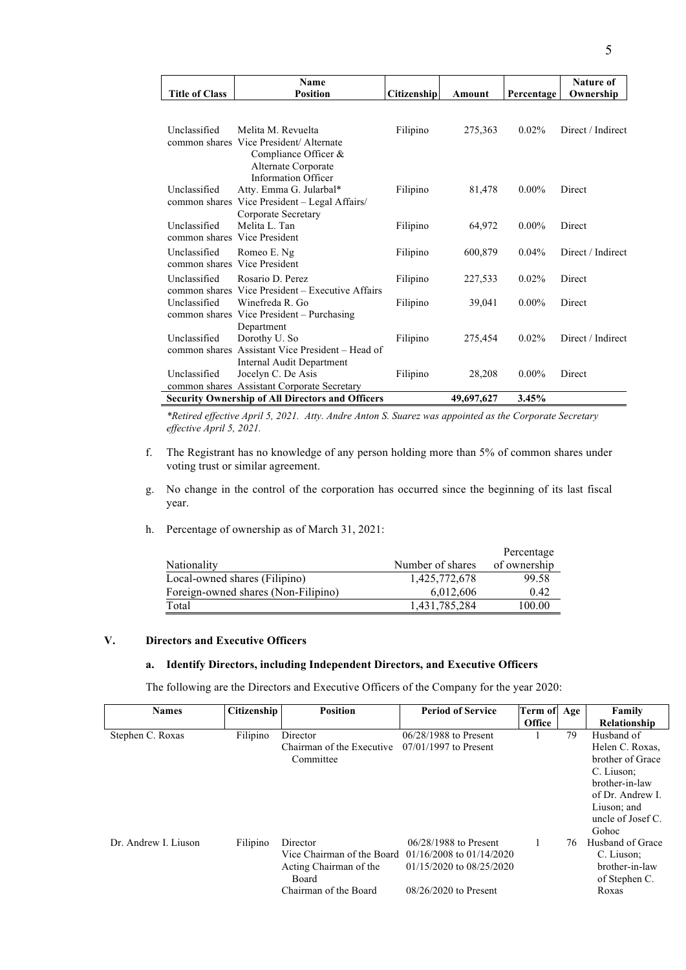|                              | <b>Name</b>                                             |                    |            |            | Nature of         |
|------------------------------|---------------------------------------------------------|--------------------|------------|------------|-------------------|
| <b>Title of Class</b>        | <b>Position</b>                                         | <b>Citizenship</b> | Amount     | Percentage | Ownership         |
|                              |                                                         |                    |            |            |                   |
| Unclassified                 | Melita M. Revuelta                                      | Filipino           | 275,363    | $0.02\%$   | Direct / Indirect |
|                              | common shares Vice President/Alternate                  |                    |            |            |                   |
|                              | Compliance Officer &                                    |                    |            |            |                   |
|                              | Alternate Corporate<br><b>Information Officer</b>       |                    |            |            |                   |
| Unclassified                 | Atty. Emma G. Jularbal*                                 | Filipino           | 81,478     | $0.00\%$   | Direct            |
|                              | common shares Vice President - Legal Affairs/           |                    |            |            |                   |
|                              | Corporate Secretary                                     |                    |            |            |                   |
| Unclassified                 | Melita L. Tan                                           | Filipino           | 64,972     | $0.00\%$   | Direct            |
| common shares Vice President |                                                         |                    |            |            |                   |
| Unclassified                 | Romeo E. Ng                                             | Filipino           | 600,879    | $0.04\%$   | Direct / Indirect |
| common shares Vice President |                                                         |                    |            |            |                   |
| Unclassified                 | Rosario D. Perez                                        | Filipino           | 227,533    | 0.02%      | Direct            |
|                              | common shares Vice President – Executive Affairs        |                    |            |            |                   |
| Unclassified                 | Winefreda R. Go                                         | Filipino           | 39,041     | $0.00\%$   | Direct            |
|                              | common shares Vice President – Purchasing<br>Department |                    |            |            |                   |
| Unclassified                 | Dorothy U. So                                           | Filipino           | 275,454    | 0.02%      | Direct / Indirect |
|                              | common shares Assistant Vice President – Head of        |                    |            |            |                   |
|                              | Internal Audit Department                               |                    |            |            |                   |
| Unclassified                 | Jocelyn C. De Asis                                      | Filipino           | 28,208     | $0.00\%$   | Direct            |
|                              | common shares Assistant Corporate Secretary             |                    |            |            |                   |
|                              | <b>Security Ownership of All Directors and Officers</b> |                    | 49,697,627 | 3.45%      |                   |

*\*Retired effective April 5, 2021. Atty. Andre Anton S. Suarez was appointed as the Corporate Secretary effective April 5, 2021.*

- f. The Registrant has no knowledge of any person holding more than 5% of common shares under voting trust or similar agreement.
- g. No change in the control of the corporation has occurred since the beginning of its last fiscal year.
- h. Percentage of ownership as of March 31, 2021:

|                                     |                  | Percentage   |
|-------------------------------------|------------------|--------------|
| Nationality                         | Number of shares | of ownership |
| Local-owned shares (Filipino)       | 1,425,772,678    | 99.58        |
| Foreign-owned shares (Non-Filipino) | 6,012,606        | 0.42         |
| Total                               | 1,431,785,284    | 100.00       |

# **V. Directors and Executive Officers**

# **a. Identify Directors, including Independent Directors, and Executive Officers**

The following are the Directors and Executive Officers of the Company for the year 2020:

| <b>Names</b>         | Citizenship | <b>Position</b>                                         | <b>Period of Service</b> | <b>Term of</b> | Age | Family                          |
|----------------------|-------------|---------------------------------------------------------|--------------------------|----------------|-----|---------------------------------|
|                      |             |                                                         |                          | <b>Office</b>  |     | Relationship                    |
| Stephen C. Roxas     | Filipino    | Director                                                | 06/28/1988 to Present    |                | 79  | Husband of                      |
|                      |             | Chairman of the Executive                               | $07/01/1997$ to Present  |                |     | Helen C. Roxas.                 |
|                      |             | Committee                                               |                          |                |     | brother of Grace                |
|                      |             |                                                         |                          |                |     | C. Liuson;                      |
|                      |             |                                                         |                          |                |     | brother-in-law                  |
|                      |             |                                                         |                          |                |     | of Dr. Andrew I.                |
|                      |             |                                                         |                          |                |     | Liuson; and                     |
|                      |             |                                                         |                          |                |     | uncle of Josef $C$ .            |
|                      |             |                                                         |                          |                |     | Gohoc                           |
| Dr. Andrew I. Liuson | Filipino    | Director                                                | $06/28/1988$ to Present  |                | 76  | Husband of Grace                |
|                      |             | Vice Chairman of the Board $01/16/2008$ to $01/14/2020$ |                          |                |     | C. Liuson;                      |
|                      |             | Acting Chairman of the<br>Board                         | 01/15/2020 to 08/25/2020 |                |     | brother-in-law<br>of Stephen C. |
|                      |             | Chairman of the Board                                   | $08/26/2020$ to Present  |                |     | Roxas                           |
|                      |             |                                                         |                          |                |     |                                 |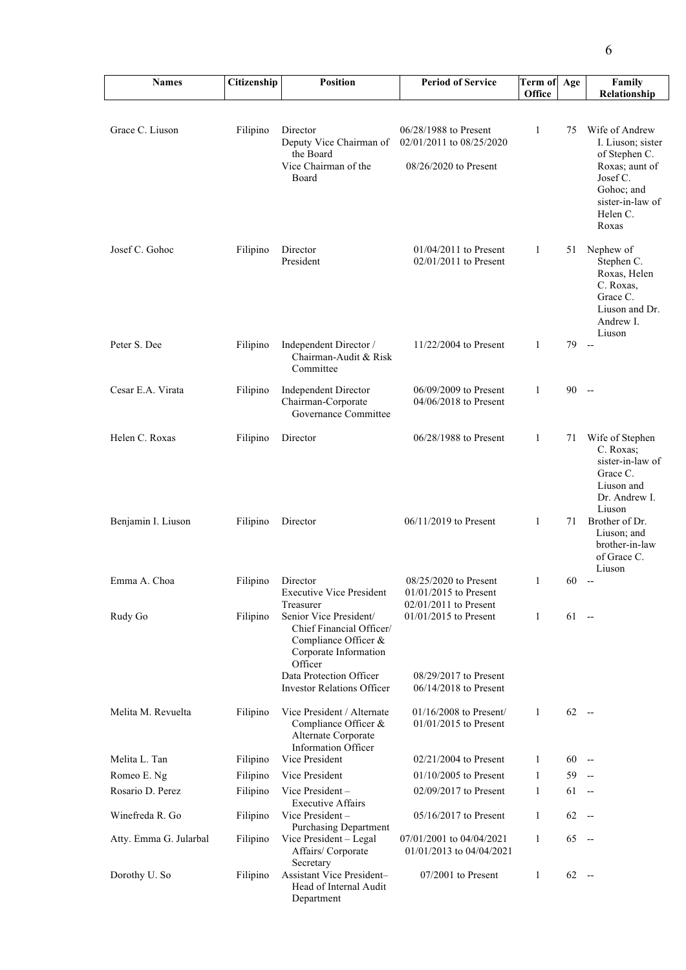| <b>Names</b>           | Citizenship | <b>Position</b>                                                                                                                           | <b>Period of Service</b>                                                    | Term of | Age    | Family                                                                                                    |
|------------------------|-------------|-------------------------------------------------------------------------------------------------------------------------------------------|-----------------------------------------------------------------------------|---------|--------|-----------------------------------------------------------------------------------------------------------|
|                        |             |                                                                                                                                           |                                                                             | Office  |        | Relationship                                                                                              |
| Grace C. Liuson        | Filipino    | Director<br>Deputy Vice Chairman of<br>the Board                                                                                          | 06/28/1988 to Present<br>02/01/2011 to 08/25/2020                           | 1       | 75     | Wife of Andrew<br>I. Liuson; sister<br>of Stephen C.                                                      |
|                        |             | Vice Chairman of the<br>Board                                                                                                             | 08/26/2020 to Present                                                       |         |        | Roxas; aunt of<br>Josef C.<br>Gohoc; and<br>sister-in-law of<br>Helen C.<br>Roxas                         |
| Josef C. Gohoc         | Filipino    | Director<br>President                                                                                                                     | $01/04/2011$ to Present<br>$02/01/2011$ to Present                          | 1       | 51     | Nephew of<br>Stephen C.<br>Roxas, Helen<br>C. Roxas,<br>Grace C.<br>Liuson and Dr.<br>Andrew I.<br>Liuson |
| Peter S. Dee           | Filipino    | Independent Director /<br>Chairman-Audit & Risk<br>Committee                                                                              | $11/22/2004$ to Present                                                     | 1       | 79     | $\sim$                                                                                                    |
| Cesar E.A. Virata      | Filipino    | <b>Independent Director</b><br>Chairman-Corporate<br>Governance Committee                                                                 | 06/09/2009 to Present<br>04/06/2018 to Present                              | 1       | 90     | $-$                                                                                                       |
| Helen C. Roxas         | Filipino    | Director                                                                                                                                  | 06/28/1988 to Present                                                       | 1       | 71     | Wife of Stephen<br>C. Roxas:<br>sister-in-law of<br>Grace C.<br>Liuson and<br>Dr. Andrew I.<br>Liuson     |
| Benjamin I. Liuson     | Filipino    | Director                                                                                                                                  | $06/11/2019$ to Present                                                     | 1       | 71     | Brother of Dr.<br>Liuson; and<br>brother-in-law<br>of Grace C.<br>Liuson                                  |
| Emma A. Choa           | Filipino    | Director<br><b>Executive Vice President</b><br>Treasurer                                                                                  | 08/25/2020 to Present<br>$01/01/2015$ to Present<br>$02/01/2011$ to Present | 1       | 60     | $\overline{\phantom{a}}$                                                                                  |
| Rudy Go                | Filipino    | Senior Vice President/<br>Chief Financial Officer/<br>Compliance Officer &<br>Corporate Information<br>Officer<br>Data Protection Officer | $01/01/2015$ to Present<br>08/29/2017 to Present                            | 1       | $61 -$ |                                                                                                           |
|                        |             | <b>Investor Relations Officer</b>                                                                                                         | 06/14/2018 to Present                                                       |         |        |                                                                                                           |
| Melita M. Revuelta     | Filipino    | Vice President / Alternate<br>Compliance Officer &<br>Alternate Corporate<br>Information Officer                                          | $01/16/2008$ to Present/<br>$01/01/2015$ to Present                         | 1       | $62 -$ |                                                                                                           |
| Melita L. Tan          | Filipino    | Vice President                                                                                                                            | 02/21/2004 to Present                                                       | 1       | $60 -$ |                                                                                                           |
| Romeo E. Ng            | Filipino    | Vice President                                                                                                                            | $01/10/2005$ to Present                                                     | 1       | $59 -$ |                                                                                                           |
| Rosario D. Perez       | Filipino    | Vice President-<br><b>Executive Affairs</b>                                                                                               | 02/09/2017 to Present                                                       | 1       | $61 -$ |                                                                                                           |
| Winefreda R. Go        | Filipino    | Vice President-<br><b>Purchasing Department</b>                                                                                           | 05/16/2017 to Present                                                       | 1       | $62 -$ |                                                                                                           |
| Atty. Emma G. Jularbal | Filipino    | Vice President - Legal<br>Affairs/ Corporate<br>Secretary                                                                                 | 07/01/2001 to 04/04/2021<br>01/01/2013 to 04/04/2021                        | 1       | $65 -$ |                                                                                                           |
| Dorothy U. So          | Filipino    | Assistant Vice President-<br>Head of Internal Audit                                                                                       | $07/2001$ to Present                                                        | 1       | $62 -$ |                                                                                                           |

Department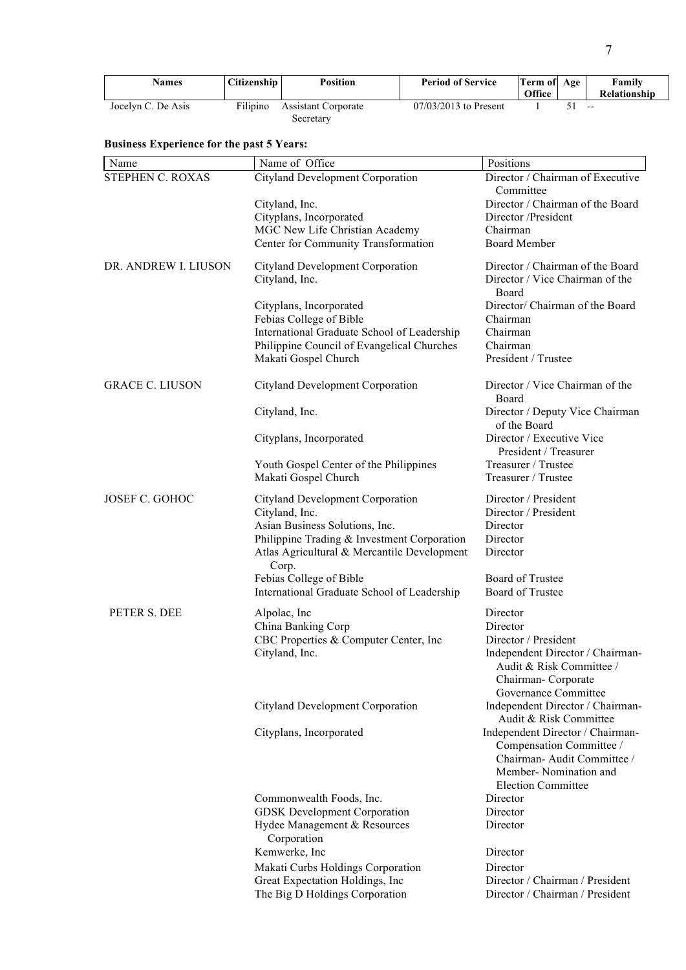| Names              | <b>Citizenship</b> | <b>Position</b>                         | <b>Period of Service</b> | Term of Age<br><b>Office</b> | Family<br>Relationship   |
|--------------------|--------------------|-----------------------------------------|--------------------------|------------------------------|--------------------------|
| Jocelyn C. De Asis | Filipino           | <b>Assistant Corporate</b><br>Secretary | $07/03/2013$ to Present  |                              | $\overline{\phantom{m}}$ |

**Business Experience for the past 5 Years:**

| Name                   | Name of Office                                                                                      | Positions                                                                                                  |
|------------------------|-----------------------------------------------------------------------------------------------------|------------------------------------------------------------------------------------------------------------|
| STEPHEN C. ROXAS       | Cityland Development Corporation                                                                    | Director / Chairman of Executive                                                                           |
|                        |                                                                                                     | Committee                                                                                                  |
|                        | Cityland, Inc.                                                                                      | Director / Chairman of the Board                                                                           |
|                        | Cityplans, Incorporated                                                                             | Director /President                                                                                        |
|                        | MGC New Life Christian Academy                                                                      | Chairman                                                                                                   |
|                        | Center for Community Transformation                                                                 | <b>Board Member</b>                                                                                        |
| DR. ANDREW I. LIUSON   | Cityland Development Corporation                                                                    | Director / Chairman of the Board                                                                           |
|                        | Cityland, Inc.                                                                                      | Director / Vice Chairman of the<br><b>Board</b>                                                            |
|                        | Cityplans, Incorporated                                                                             | Director/ Chairman of the Board                                                                            |
|                        | Febias College of Bible                                                                             | Chairman                                                                                                   |
|                        | International Graduate School of Leadership                                                         | Chairman                                                                                                   |
|                        | Philippine Council of Evangelical Churches                                                          | Chairman                                                                                                   |
|                        | Makati Gospel Church                                                                                | President / Trustee                                                                                        |
| <b>GRACE C. LIUSON</b> | Cityland Development Corporation                                                                    | Director / Vice Chairman of the<br>Board                                                                   |
|                        | Cityland, Inc.                                                                                      | Director / Deputy Vice Chairman<br>of the Board                                                            |
|                        | Cityplans, Incorporated                                                                             | Director / Executive Vice<br>President / Treasurer                                                         |
|                        | Youth Gospel Center of the Philippines                                                              | Treasurer / Trustee                                                                                        |
|                        | Makati Gospel Church                                                                                | Treasurer / Trustee                                                                                        |
| JOSEF C. GOHOC         | Cityland Development Corporation                                                                    | Director / President                                                                                       |
|                        | Cityland, Inc.                                                                                      | Director / President                                                                                       |
|                        | Asian Business Solutions, Inc.                                                                      | Director                                                                                                   |
|                        | Philippine Trading & Investment Corporation<br>Atlas Agricultural & Mercantile Development<br>Corp. | Director<br>Director                                                                                       |
|                        | Febias College of Bible                                                                             | <b>Board of Trustee</b>                                                                                    |
|                        | International Graduate School of Leadership                                                         | Board of Trustee                                                                                           |
| PETER S. DEE           | Alpolac, Inc.                                                                                       | Director                                                                                                   |
|                        | China Banking Corp                                                                                  | Director                                                                                                   |
|                        | CBC Properties & Computer Center, Inc                                                               | Director / President                                                                                       |
|                        | Cityland, Inc.                                                                                      | Independent Director / Chairman-<br>Audit & Risk Committee /<br>Chairman-Corporate<br>Governance Committee |
|                        | Cityland Development Corporation                                                                    | Independent Director / Chairman-<br>Audit & Risk Committee                                                 |
|                        | Cityplans, Incorporated                                                                             | Independent Director / Chairman-<br>Compensation Committee /                                               |
|                        |                                                                                                     | Chairman-Audit Committee /<br>Member-Nomination and<br><b>Election Committee</b>                           |
|                        | Commonwealth Foods, Inc.                                                                            | Director                                                                                                   |
|                        | <b>GDSK</b> Development Corporation<br>Hydee Management & Resources                                 | Director<br>Director                                                                                       |
|                        | Corporation                                                                                         |                                                                                                            |
|                        | Kemwerke, Inc                                                                                       | Director                                                                                                   |
|                        | Makati Curbs Holdings Corporation                                                                   | Director                                                                                                   |
|                        | Great Expectation Holdings, Inc<br>The Big D Holdings Corporation                                   | Director / Chairman / President<br>Director / Chairman / President                                         |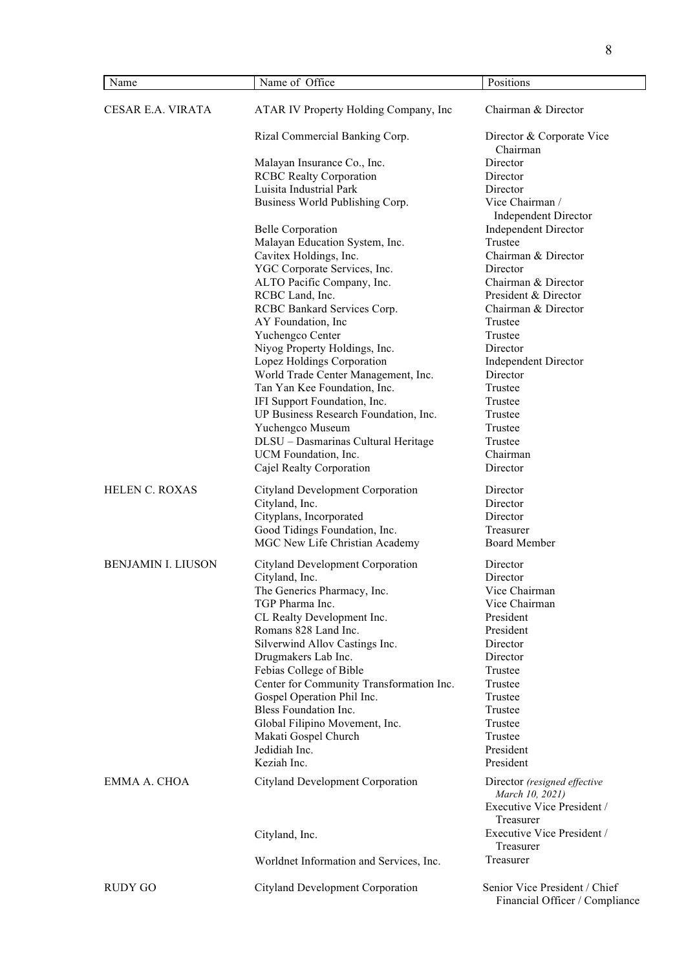| Name                      | Name of Office                                                  | Positions                                                                                  |
|---------------------------|-----------------------------------------------------------------|--------------------------------------------------------------------------------------------|
| <b>CESAR E.A. VIRATA</b>  | ATAR IV Property Holding Company, Inc                           | Chairman & Director                                                                        |
|                           | Rizal Commercial Banking Corp.                                  | Director & Corporate Vice<br>Chairman                                                      |
|                           | Malayan Insurance Co., Inc.                                     | Director                                                                                   |
|                           | <b>RCBC Realty Corporation</b>                                  | Director                                                                                   |
|                           | Luisita Industrial Park                                         | Director                                                                                   |
|                           | Business World Publishing Corp.                                 | Vice Chairman /<br><b>Independent Director</b>                                             |
|                           | <b>Belle Corporation</b>                                        | <b>Independent Director</b>                                                                |
|                           | Malayan Education System, Inc.                                  | Trustee                                                                                    |
|                           | Cavitex Holdings, Inc.                                          | Chairman & Director                                                                        |
|                           | YGC Corporate Services, Inc.                                    | Director                                                                                   |
|                           | ALTO Pacific Company, Inc.                                      | Chairman & Director                                                                        |
|                           | RCBC Land, Inc.                                                 | President & Director                                                                       |
|                           | RCBC Bankard Services Corp.                                     | Chairman & Director                                                                        |
|                           | AY Foundation, Inc                                              | Trustee                                                                                    |
|                           | Yuchengco Center                                                | Trustee                                                                                    |
|                           | Niyog Property Holdings, Inc.                                   | Director                                                                                   |
|                           | Lopez Holdings Corporation                                      | <b>Independent Director</b>                                                                |
|                           | World Trade Center Management, Inc.                             | Director                                                                                   |
|                           | Tan Yan Kee Foundation, Inc.                                    | Trustee                                                                                    |
|                           | IFI Support Foundation, Inc.                                    | Trustee                                                                                    |
|                           | UP Business Research Foundation, Inc.                           | Trustee                                                                                    |
|                           | Yuchengco Museum                                                | Trustee                                                                                    |
|                           | DLSU - Dasmarinas Cultural Heritage                             | Trustee                                                                                    |
|                           | UCM Foundation, Inc.                                            | Chairman                                                                                   |
|                           | Cajel Realty Corporation                                        | Director                                                                                   |
| HELEN C. ROXAS            | Cityland Development Corporation                                | Director                                                                                   |
|                           | Cityland, Inc.                                                  | Director                                                                                   |
|                           | Cityplans, Incorporated                                         | Director                                                                                   |
|                           | Good Tidings Foundation, Inc.<br>MGC New Life Christian Academy | Treasurer<br><b>Board Member</b>                                                           |
| <b>BENJAMIN I. LIUSON</b> | Cityland Development Corporation                                | Director                                                                                   |
|                           | Cityland, Inc.                                                  | Director                                                                                   |
|                           | The Generics Pharmacy, Inc.                                     | Vice Chairman                                                                              |
|                           | TGP Pharma Inc.                                                 | Vice Chairman                                                                              |
|                           | CL Realty Development Inc.                                      | President                                                                                  |
|                           | Romans 828 Land Inc.                                            | President                                                                                  |
|                           | Silverwind Allov Castings Inc.                                  | Director                                                                                   |
|                           | Drugmakers Lab Inc.                                             | Director                                                                                   |
|                           | Febias College of Bible                                         | Trustee                                                                                    |
|                           | Center for Community Transformation Inc.                        | Trustee                                                                                    |
|                           | Gospel Operation Phil Inc.<br>Bless Foundation Inc.             | Trustee                                                                                    |
|                           | Global Filipino Movement, Inc.                                  | Trustee<br>Trustee                                                                         |
|                           | Makati Gospel Church                                            | Trustee                                                                                    |
|                           | Jedidiah Inc.                                                   | President                                                                                  |
|                           | Keziah Inc.                                                     | President                                                                                  |
|                           |                                                                 |                                                                                            |
| EMMA A. CHOA              | Cityland Development Corporation                                | Director (resigned effective<br>March 10, 2021)<br>Executive Vice President /<br>Treasurer |
|                           | Cityland, Inc.                                                  | Executive Vice President /<br>Treasurer                                                    |
|                           | Worldnet Information and Services, Inc.                         | Treasurer                                                                                  |
| <b>RUDY GO</b>            | Cityland Development Corporation                                | Senior Vice President / Chief<br>Financial Officer / Compliance                            |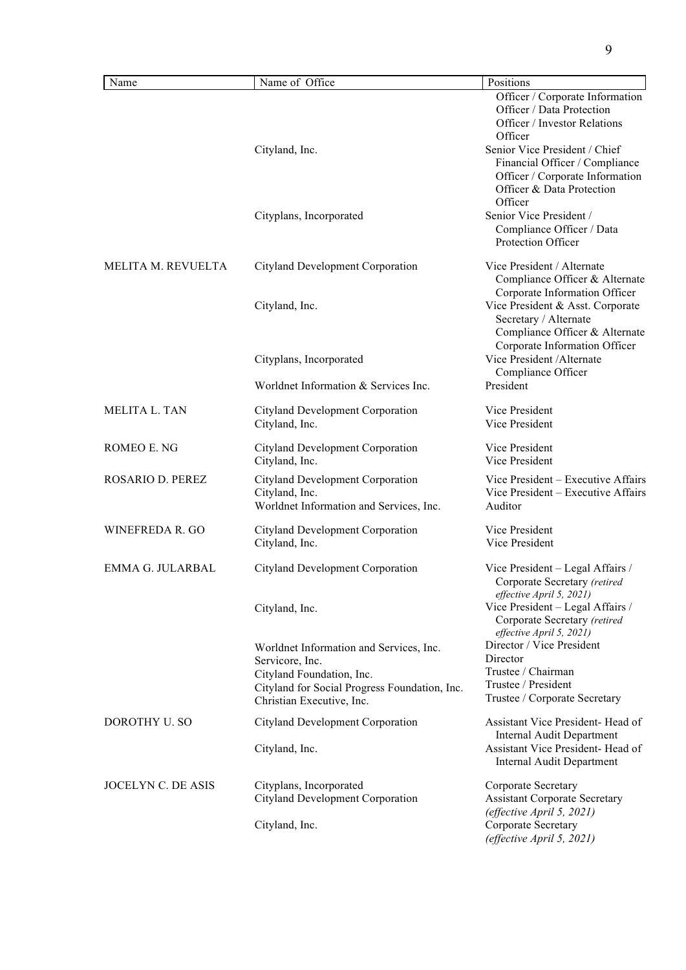| Name                      | Name of Office                                                                                | Positions                                                                                                                                                                                                                                         |
|---------------------------|-----------------------------------------------------------------------------------------------|---------------------------------------------------------------------------------------------------------------------------------------------------------------------------------------------------------------------------------------------------|
|                           | Cityland, Inc.                                                                                | Officer / Corporate Information<br>Officer / Data Protection<br><b>Officer / Investor Relations</b><br>Officer<br>Senior Vice President / Chief<br>Financial Officer / Compliance<br>Officer / Corporate Information<br>Officer & Data Protection |
|                           | Cityplans, Incorporated                                                                       | Officer<br>Senior Vice President /<br>Compliance Officer / Data<br>Protection Officer                                                                                                                                                             |
| MELITA M. REVUELTA        | Cityland Development Corporation                                                              | Vice President / Alternate<br>Compliance Officer & Alternate<br>Corporate Information Officer                                                                                                                                                     |
|                           | Cityland, Inc.                                                                                | Vice President & Asst. Corporate<br>Secretary / Alternate<br>Compliance Officer & Alternate<br>Corporate Information Officer                                                                                                                      |
|                           | Cityplans, Incorporated                                                                       | Vice President /Alternate<br>Compliance Officer                                                                                                                                                                                                   |
|                           | Worldnet Information & Services Inc.                                                          | President                                                                                                                                                                                                                                         |
| <b>MELITA L. TAN</b>      | Cityland Development Corporation<br>Cityland, Inc.                                            | Vice President<br>Vice President                                                                                                                                                                                                                  |
| ROMEO E. NG               | Cityland Development Corporation<br>Cityland, Inc.                                            | Vice President<br>Vice President                                                                                                                                                                                                                  |
| ROSARIO D. PEREZ          | Cityland Development Corporation<br>Cityland, Inc.<br>Worldnet Information and Services, Inc. | Vice President – Executive Affairs<br>Vice President - Executive Affairs<br>Auditor                                                                                                                                                               |
| WINEFREDA R. GO           | Cityland Development Corporation<br>Cityland, Inc.                                            | Vice President<br>Vice President                                                                                                                                                                                                                  |
| <b>EMMA G. JULARBAL</b>   | Cityland Development Corporation                                                              | Vice President – Legal Affairs /<br>Corporate Secretary (retired<br>effective April 5, 2021)                                                                                                                                                      |
|                           | Cityland, Inc.                                                                                | Vice President - Legal Affairs /<br>Corporate Secretary (retired<br>effective April 5, 2021)                                                                                                                                                      |
|                           | Worldnet Information and Services, Inc.<br>Servicore, Inc.                                    | Director / Vice President<br>Director                                                                                                                                                                                                             |
|                           | Cityland Foundation, Inc.<br>Cityland for Social Progress Foundation, Inc.                    | Trustee / Chairman<br>Trustee / President                                                                                                                                                                                                         |
|                           | Christian Executive, Inc.                                                                     | Trustee / Corporate Secretary                                                                                                                                                                                                                     |
| DOROTHY U.SO              | Cityland Development Corporation                                                              | Assistant Vice President- Head of<br><b>Internal Audit Department</b>                                                                                                                                                                             |
|                           | Cityland, Inc.                                                                                | Assistant Vice President- Head of<br>Internal Audit Department                                                                                                                                                                                    |
| <b>JOCELYN C. DE ASIS</b> | Cityplans, Incorporated<br>Cityland Development Corporation                                   | Corporate Secretary<br><b>Assistant Corporate Secretary</b><br>(effective April 5, 2021)                                                                                                                                                          |
|                           | Cityland, Inc.                                                                                | Corporate Secretary<br>(effective April 5, 2021)                                                                                                                                                                                                  |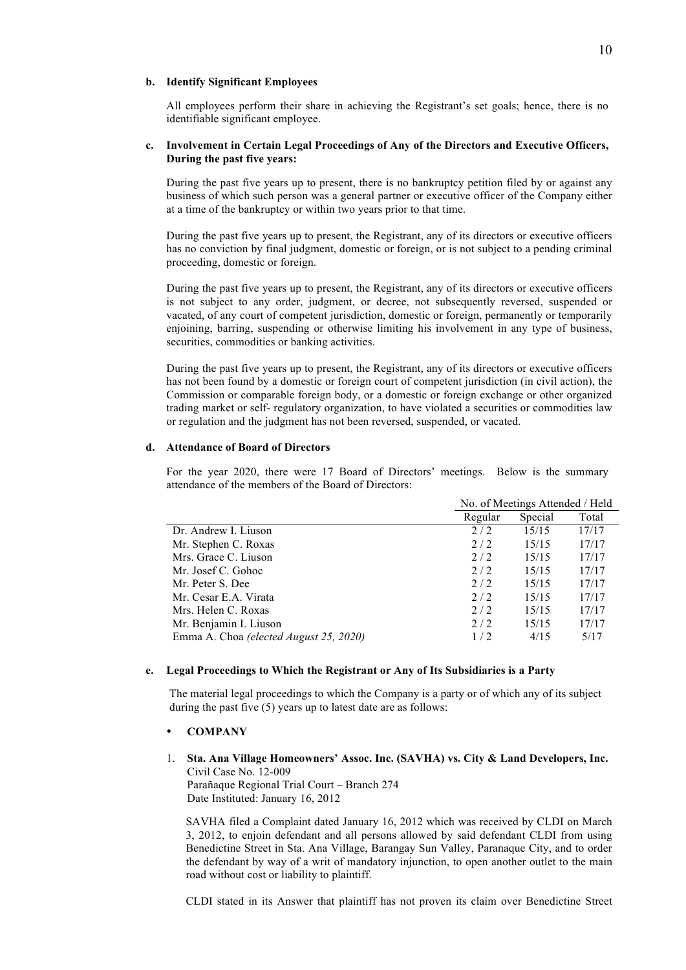# **b. Identify Significant Employees**

All employees perform their share in achieving the Registrant's set goals; hence, there is no identifiable significant employee.

# **c. Involvement in Certain Legal Proceedings of Any of the Directors and Executive Officers, During the past five years:**

During the past five years up to present, there is no bankruptcy petition filed by or against any business of which such person was a general partner or executive officer of the Company either at a time of the bankruptcy or within two years prior to that time.

During the past five years up to present, the Registrant, any of its directors or executive officers has no conviction by final judgment, domestic or foreign, or is not subject to a pending criminal proceeding, domestic or foreign.

During the past five years up to present, the Registrant, any of its directors or executive officers is not subject to any order, judgment, or decree, not subsequently reversed, suspended or vacated, of any court of competent jurisdiction, domestic or foreign, permanently or temporarily enjoining, barring, suspending or otherwise limiting his involvement in any type of business, securities, commodities or banking activities.

During the past five years up to present, the Registrant, any of its directors or executive officers has not been found by a domestic or foreign court of competent jurisdiction (in civil action), the Commission or comparable foreign body, or a domestic or foreign exchange or other organized trading market or self- regulatory organization, to have violated a securities or commodities law or regulation and the judgment has not been reversed, suspended, or vacated.

## **d. Attendance of Board of Directors**

For the year 2020, there were 17 Board of Directors' meetings. Below is the summary attendance of the members of the Board of Directors:

|                                        |         | No. of Meetings Attended / Held |       |
|----------------------------------------|---------|---------------------------------|-------|
|                                        | Regular | Special                         | Total |
| Dr. Andrew I. Liuson                   | 2/2     | 15/15                           | 17/17 |
| Mr. Stephen C. Roxas                   | 2/2     | 15/15                           | 17/17 |
| Mrs. Grace C. Liuson                   | 2/2     | 15/15                           | 17/17 |
| Mr. Josef C. Gohoc                     | 2/2     | 15/15                           | 17/17 |
| Mr. Peter S. Dee                       | 2/2     | 15/15                           | 17/17 |
| Mr. Cesar E.A. Virata                  | 2/2     | 15/15                           | 17/17 |
| Mrs. Helen C. Roxas                    | 2/2     | 15/15                           | 17/17 |
| Mr. Benjamin I. Liuson                 | 2/2     | 15/15                           | 17/17 |
| Emma A. Choa (elected August 25, 2020) | 1/2     | 4/15                            | 5/17  |

#### **e. Legal Proceedings to Which the Registrant or Any of Its Subsidiaries is a Party**

The material legal proceedings to which the Company is a party or of which any of its subject during the past five (5) years up to latest date are as follows:

# • **COMPANY**

# 1. **Sta. Ana Village Homeowners' Assoc. Inc. (SAVHA) vs. City & Land Developers, Inc.** Civil Case No. 12-009

Parañaque Regional Trial Court – Branch 274 Date Instituted: January 16, 2012

SAVHA filed a Complaint dated January 16, 2012 which was received by CLDI on March 3, 2012, to enjoin defendant and all persons allowed by said defendant CLDI from using Benedictine Street in Sta. Ana Village, Barangay Sun Valley, Paranaque City, and to order the defendant by way of a writ of mandatory injunction, to open another outlet to the main road without cost or liability to plaintiff.

CLDI stated in its Answer that plaintiff has not proven its claim over Benedictine Street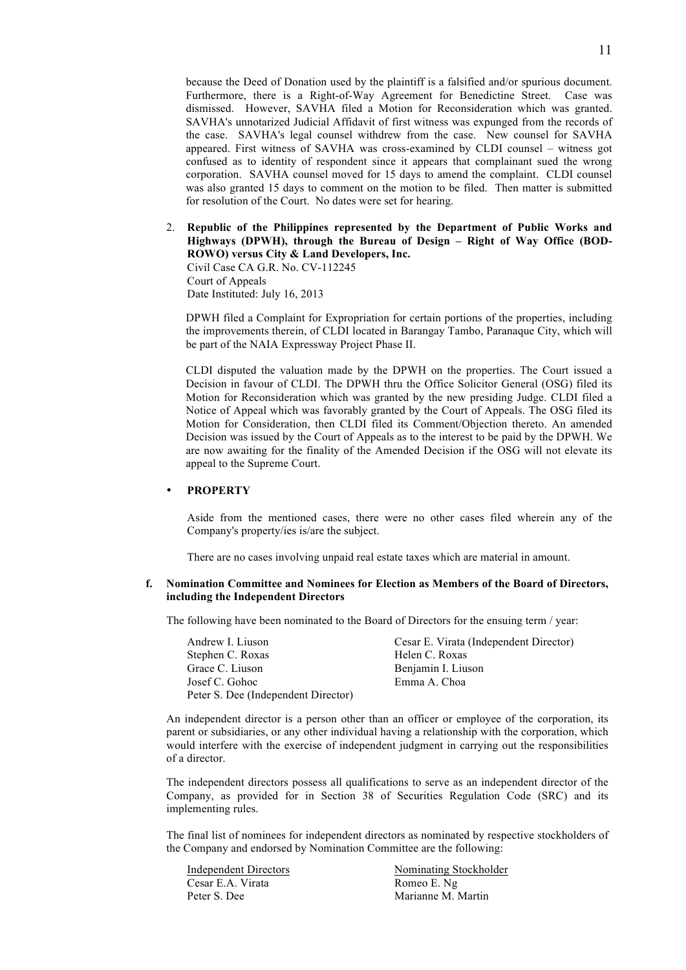because the Deed of Donation used by the plaintiff is a falsified and/or spurious document. Furthermore, there is a Right-of-Way Agreement for Benedictine Street. Case was dismissed. However, SAVHA filed a Motion for Reconsideration which was granted. SAVHA's unnotarized Judicial Affidavit of first witness was expunged from the records of the case. SAVHA's legal counsel withdrew from the case. New counsel for SAVHA appeared. First witness of SAVHA was cross-examined by CLDI counsel – witness got confused as to identity of respondent since it appears that complainant sued the wrong corporation. SAVHA counsel moved for 15 days to amend the complaint. CLDI counsel was also granted 15 days to comment on the motion to be filed. Then matter is submitted for resolution of the Court. No dates were set for hearing.

2. **Republic of the Philippines represented by the Department of Public Works and Highways (DPWH), through the Bureau of Design – Right of Way Office (BOD-ROWO) versus City & Land Developers, Inc.** Civil Case CA G.R. No. CV-112245

Court of Appeals Date Instituted: July 16, 2013

DPWH filed a Complaint for Expropriation for certain portions of the properties, including the improvements therein, of CLDI located in Barangay Tambo, Paranaque City, which will be part of the NAIA Expressway Project Phase II.

CLDI disputed the valuation made by the DPWH on the properties. The Court issued a Decision in favour of CLDI. The DPWH thru the Office Solicitor General (OSG) filed its Motion for Reconsideration which was granted by the new presiding Judge. CLDI filed a Notice of Appeal which was favorably granted by the Court of Appeals. The OSG filed its Motion for Consideration, then CLDI filed its Comment/Objection thereto. An amended Decision was issued by the Court of Appeals as to the interest to be paid by the DPWH. We are now awaiting for the finality of the Amended Decision if the OSG will not elevate its appeal to the Supreme Court.

#### • **PROPERTY**

Aside from the mentioned cases, there were no other cases filed wherein any of the Company's property/ies is/are the subject.

There are no cases involving unpaid real estate taxes which are material in amount.

#### **f. Nomination Committee and Nominees for Election as Members of the Board of Directors, including the Independent Directors**

The following have been nominated to the Board of Directors for the ensuing term / year:

Andrew I. Liuson Cesar E. Virata (Independent Director) Stephen C. Roxas Helen C. Roxas Grace C. Liuson Benjamin I. Liuson Josef C. Gohoc Emma A. Choa Peter S. Dee (Independent Director)

An independent director is a person other than an officer or employee of the corporation, its parent or subsidiaries, or any other individual having a relationship with the corporation, which would interfere with the exercise of independent judgment in carrying out the responsibilities of a director.

The independent directors possess all qualifications to serve as an independent director of the Company, as provided for in Section 38 of Securities Regulation Code (SRC) and its implementing rules.

The final list of nominees for independent directors as nominated by respective stockholders of the Company and endorsed by Nomination Committee are the following:

| Nominating Stockholder |
|------------------------|
| Romeo E. Ng            |
| Marianne M. Martin     |
|                        |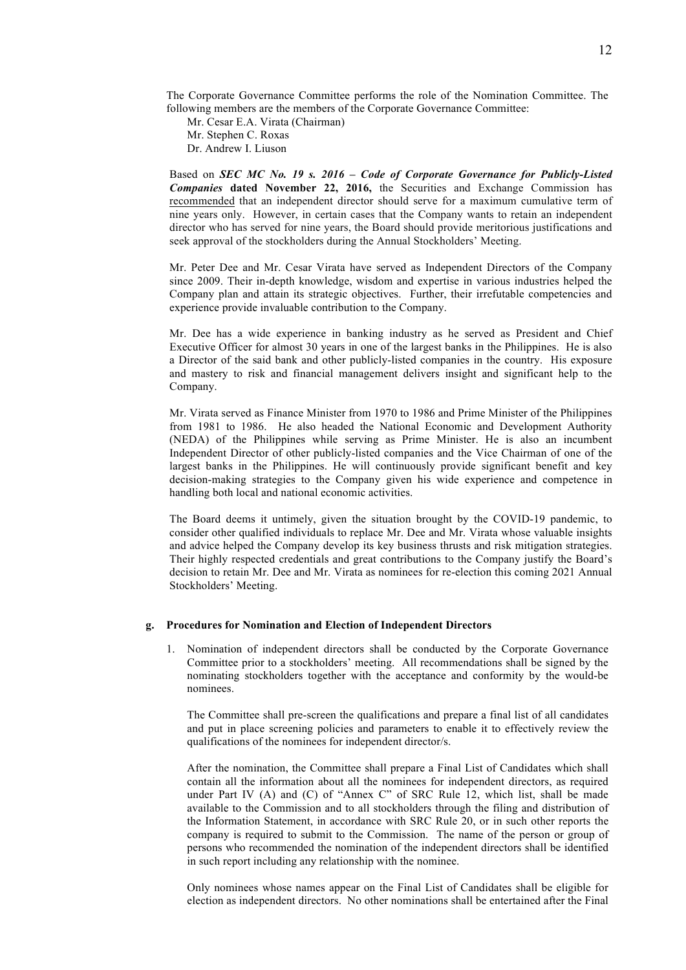The Corporate Governance Committee performs the role of the Nomination Committee. The following members are the members of the Corporate Governance Committee:

Mr. Cesar E.A. Virata (Chairman) Mr. Stephen C. Roxas

Dr. Andrew I. Liuson

Based on *SEC MC No. 19 s. 2016 – Code of Corporate Governance for Publicly-Listed Companies* **dated November 22, 2016,** the Securities and Exchange Commission has recommended that an independent director should serve for a maximum cumulative term of nine years only. However, in certain cases that the Company wants to retain an independent director who has served for nine years, the Board should provide meritorious justifications and seek approval of the stockholders during the Annual Stockholders' Meeting.

Mr. Peter Dee and Mr. Cesar Virata have served as Independent Directors of the Company since 2009. Their in-depth knowledge, wisdom and expertise in various industries helped the Company plan and attain its strategic objectives. Further, their irrefutable competencies and experience provide invaluable contribution to the Company.

Mr. Dee has a wide experience in banking industry as he served as President and Chief Executive Officer for almost 30 years in one of the largest banks in the Philippines. He is also a Director of the said bank and other publicly-listed companies in the country. His exposure and mastery to risk and financial management delivers insight and significant help to the Company.

Mr. Virata served as Finance Minister from 1970 to 1986 and Prime Minister of the Philippines from 1981 to 1986. He also headed the National Economic and Development Authority (NEDA) of the Philippines while serving as Prime Minister. He is also an incumbent Independent Director of other publicly-listed companies and the Vice Chairman of one of the largest banks in the Philippines. He will continuously provide significant benefit and key decision-making strategies to the Company given his wide experience and competence in handling both local and national economic activities.

The Board deems it untimely, given the situation brought by the COVID-19 pandemic, to consider other qualified individuals to replace Mr. Dee and Mr. Virata whose valuable insights and advice helped the Company develop its key business thrusts and risk mitigation strategies. Their highly respected credentials and great contributions to the Company justify the Board's decision to retain Mr. Dee and Mr. Virata as nominees for re-election this coming 2021 Annual Stockholders' Meeting.

# **g. Procedures for Nomination and Election of Independent Directors**

1. Nomination of independent directors shall be conducted by the Corporate Governance Committee prior to a stockholders' meeting. All recommendations shall be signed by the nominating stockholders together with the acceptance and conformity by the would-be nominees.

The Committee shall pre-screen the qualifications and prepare a final list of all candidates and put in place screening policies and parameters to enable it to effectively review the qualifications of the nominees for independent director/s.

After the nomination, the Committee shall prepare a Final List of Candidates which shall contain all the information about all the nominees for independent directors, as required under Part IV (A) and (C) of "Annex C" of SRC Rule 12, which list, shall be made available to the Commission and to all stockholders through the filing and distribution of the Information Statement, in accordance with SRC Rule 20, or in such other reports the company is required to submit to the Commission. The name of the person or group of persons who recommended the nomination of the independent directors shall be identified in such report including any relationship with the nominee.

Only nominees whose names appear on the Final List of Candidates shall be eligible for election as independent directors. No other nominations shall be entertained after the Final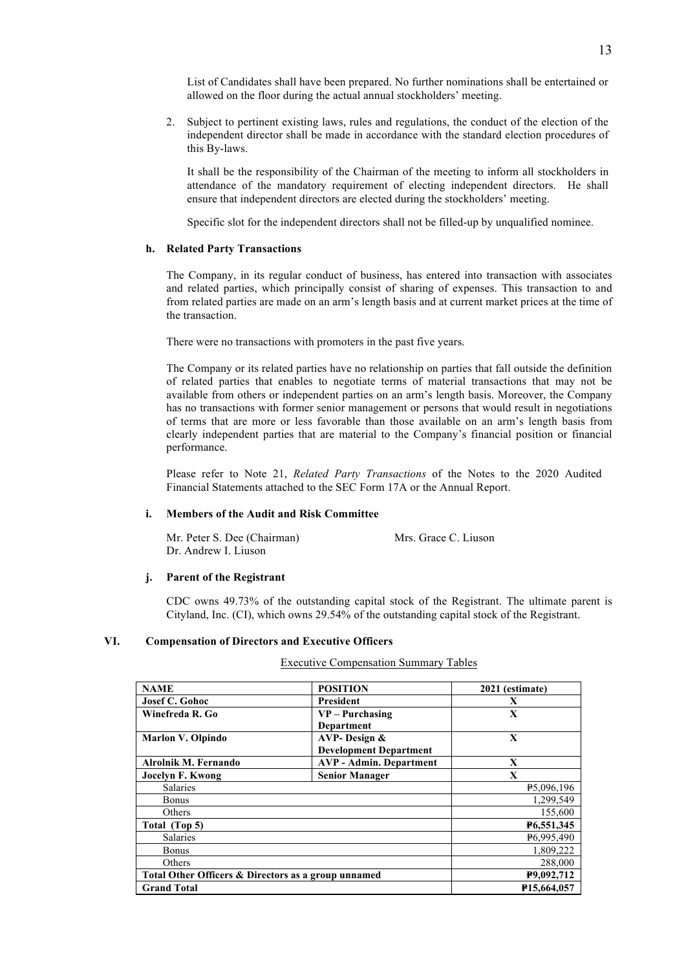List of Candidates shall have been prepared. No further nominations shall be entertained or allowed on the floor during the actual annual stockholders' meeting.

2. Subject to pertinent existing laws, rules and regulations, the conduct of the election of the independent director shall be made in accordance with the standard election procedures of this By-laws.

It shall be the responsibility of the Chairman of the meeting to inform all stockholders in attendance of the mandatory requirement of electing independent directors. He shall ensure that independent directors are elected during the stockholders' meeting.

Specific slot for the independent directors shall not be filled-up by unqualified nominee.

# **h. Related Party Transactions**

The Company, in its regular conduct of business, has entered into transaction with associates and related parties, which principally consist of sharing of expenses. This transaction to and from related parties are made on an arm's length basis and at current market prices at the time of the transaction.

There were no transactions with promoters in the past five years.

The Company or its related parties have no relationship on parties that fall outside the definition of related parties that enables to negotiate terms of material transactions that may not be available from others or independent parties on an arm's length basis. Moreover, the Company has no transactions with former senior management or persons that would result in negotiations of terms that are more or less favorable than those available on an arm's length basis from clearly independent parties that are material to the Company's financial position or financial performance.

Please refer to Note 21, *Related Party Transactions* of the Notes to the 2020 Audited Financial Statements attached to the SEC Form 17A or the Annual Report.

#### **i. Members of the Audit and Risk Committee**

Mr. Peter S. Dee (Chairman) Mrs. Grace C. Liuson Dr. Andrew I. Liuson

#### **j. Parent of the Registrant**

CDC owns 49.73% of the outstanding capital stock of the Registrant. The ultimate parent is Cityland, Inc. (CI), which owns 29.54% of the outstanding capital stock of the Registrant.

# **VI. Compensation of Directors and Executive Officers**

Executive Compensation Summary Tables

| <b>NAME</b>                                         | <b>POSITION</b>                |                          |
|-----------------------------------------------------|--------------------------------|--------------------------|
|                                                     |                                | 2021 (estimate)          |
| <b>Josef C. Gohoc</b>                               | <b>President</b>               | X                        |
| Winefreda R. Go                                     | VP – Purchasing                | X                        |
|                                                     | Department                     |                          |
| <b>Marlon V. Olpindo</b>                            | <b>AVP-Design &amp;</b>        | X                        |
|                                                     | <b>Development Department</b>  |                          |
| Alrolnik M. Fernando                                | <b>AVP</b> - Admin. Department | X                        |
| Jocelyn F. Kwong                                    | <b>Senior Manager</b>          | X                        |
| <b>Salaries</b>                                     |                                | P5,096,196               |
| <b>Bonus</b>                                        |                                | 1,299,549                |
| Others                                              |                                | 155,600                  |
| Total (Top 5)                                       |                                | P6,551,345               |
| <b>Salaries</b>                                     |                                | P <sub>6</sub> ,995,490  |
| <b>Bonus</b>                                        |                                | 1,809,222                |
| Others                                              |                                | 288,000                  |
| Total Other Officers & Directors as a group unnamed |                                | P9,092,712               |
| <b>Grand Total</b>                                  |                                | P <sub>15</sub> ,664,057 |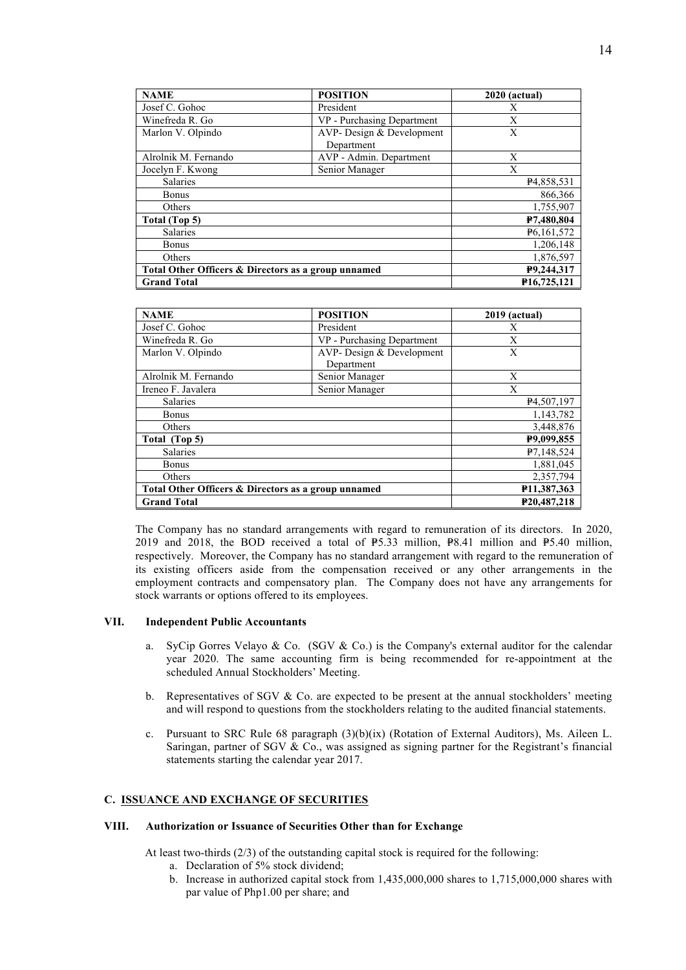| <b>NAME</b>                                         | <b>POSITION</b>            | 2020 (actual)          |
|-----------------------------------------------------|----------------------------|------------------------|
| Josef C. Gohoc                                      | President                  | X                      |
| Winefreda R. Go                                     | VP - Purchasing Department | X                      |
| Marlon V. Olpindo                                   | AVP- Design & Development  | X                      |
|                                                     | Department                 |                        |
| Alrolnik M. Fernando                                | AVP - Admin. Department    | X                      |
| Jocelyn F. Kwong                                    | Senior Manager             | X                      |
| <b>Salaries</b>                                     |                            | P <sub>4</sub> 858,531 |
| <b>Bonus</b>                                        |                            | 866,366                |
| Others                                              |                            | 1,755,907              |
| Total (Top 5)                                       |                            | P7,480,804             |
| <b>Salaries</b>                                     |                            | P6, 161, 572           |
| <b>Bonus</b>                                        |                            | 1,206,148              |
| <b>Others</b>                                       |                            | 1,876,597              |
| Total Other Officers & Directors as a group unnamed |                            | P9,244,317             |
| <b>Grand Total</b>                                  |                            | P16,725,121            |

| <b>NAME</b>                                         | <b>POSITION</b>            | 2019 (actual)           |
|-----------------------------------------------------|----------------------------|-------------------------|
| Josef C. Gohoc                                      | President                  | X                       |
| Winefreda R. Go                                     | VP - Purchasing Department | Χ                       |
| Marlon V. Olpindo                                   | AVP- Design & Development  | X                       |
|                                                     | Department                 |                         |
| Alrolnik M. Fernando                                | Senior Manager             | X                       |
| Ireneo F. Javalera                                  | Senior Manager             | X                       |
| <b>Salaries</b>                                     |                            | P <sub>4</sub> ,507,197 |
| <b>Bonus</b>                                        |                            | 1,143,782               |
| Others                                              |                            | 3,448,876               |
| Total (Top 5)                                       |                            | P9,099,855              |
| <b>Salaries</b>                                     |                            | P7,148,524              |
| <b>Bonus</b>                                        |                            | 1,881,045               |
| Others                                              |                            | 2,357,794               |
| Total Other Officers & Directors as a group unnamed |                            | P11,387,363             |
| <b>Grand Total</b>                                  |                            | P20,487,218             |

The Company has no standard arrangements with regard to remuneration of its directors. In 2020, 2019 and 2018, the BOD received a total of  $\mathbf{P}5.33$  million,  $\mathbf{P}8.41$  million and  $\mathbf{P}5.40$  million, respectively. Moreover, the Company has no standard arrangement with regard to the remuneration of its existing officers aside from the compensation received or any other arrangements in the employment contracts and compensatory plan. The Company does not have any arrangements for stock warrants or options offered to its employees.

#### **VII. Independent Public Accountants**

- a. SyCip Gorres Velayo & Co. (SGV & Co.) is the Company's external auditor for the calendar year 2020. The same accounting firm is being recommended for re-appointment at the scheduled Annual Stockholders' Meeting.
- b. Representatives of SGV & Co. are expected to be present at the annual stockholders' meeting and will respond to questions from the stockholders relating to the audited financial statements.
- c. Pursuant to SRC Rule 68 paragraph  $(3)(b)(ix)$  (Rotation of External Auditors), Ms. Aileen L. Saringan, partner of SGV & Co., was assigned as signing partner for the Registrant's financial statements starting the calendar year 2017.

#### **C. ISSUANCE AND EXCHANGE OF SECURITIES**

# **VIII. Authorization or Issuance of Securities Other than for Exchange**

At least two-thirds (2/3) of the outstanding capital stock is required for the following:

- a. Declaration of 5% stock dividend;
- b. Increase in authorized capital stock from 1,435,000,000 shares to 1,715,000,000 shares with par value of Php1.00 per share; and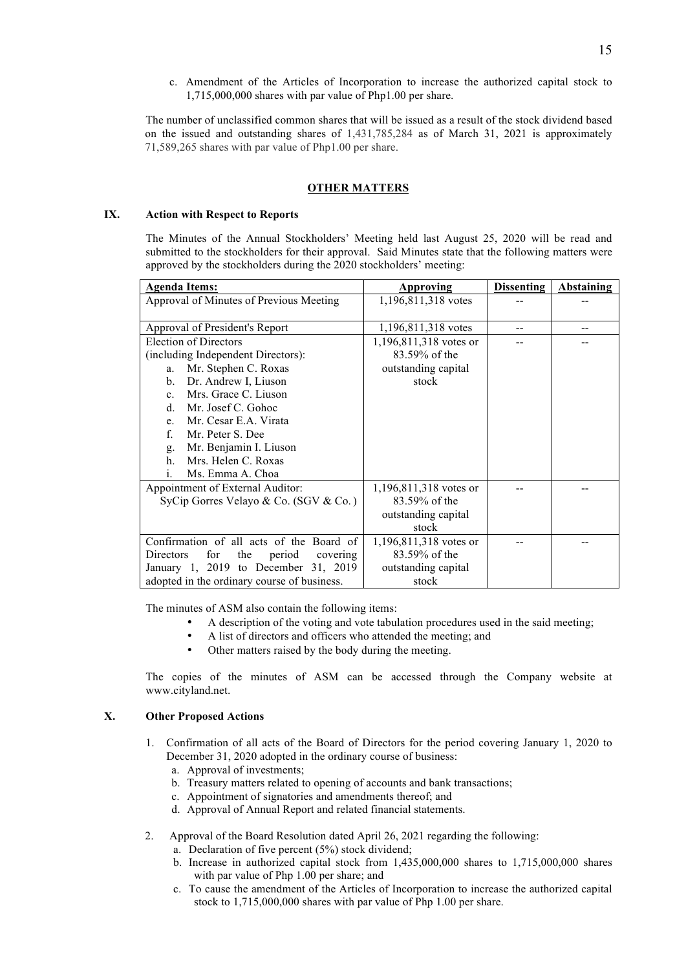c. Amendment of the Articles of Incorporation to increase the authorized capital stock to 1,715,000,000 shares with par value of Php1.00 per share.

The number of unclassified common shares that will be issued as a result of the stock dividend based on the issued and outstanding shares of 1,431,785,284 as of March 31, 2021 is approximately 71,589,265 shares with par value of Php1.00 per share.

# **OTHER MATTERS**

#### **IX. Action with Respect to Reports**

The Minutes of the Annual Stockholders' Meeting held last August 25, 2020 will be read and submitted to the stockholders for their approval. Said Minutes state that the following matters were approved by the stockholders during the 2020 stockholders' meeting:

| <b>Agenda Items:</b>                                 | Approving              | <b>Dissenting</b> | Abstaining |
|------------------------------------------------------|------------------------|-------------------|------------|
| Approval of Minutes of Previous Meeting              | 1,196,811,318 votes    |                   |            |
|                                                      |                        |                   |            |
| Approval of President's Report                       | 1,196,811,318 votes    |                   |            |
| <b>Election of Directors</b>                         | 1,196,811,318 votes or |                   |            |
| (including Independent Directors):                   | 83.59% of the          |                   |            |
| Mr. Stephen C. Roxas<br>a.                           | outstanding capital    |                   |            |
| Dr. Andrew I, Liuson<br>b.                           | stock                  |                   |            |
| Mrs. Grace C. Liuson<br>$\mathbf{c}$ .               |                        |                   |            |
| Mr. Josef C. Gohoc<br>d.                             |                        |                   |            |
| Mr. Cesar E.A. Virata<br>e.                          |                        |                   |            |
| $\mathbf{f}$<br>Mr. Peter S. Dee                     |                        |                   |            |
| Mr. Benjamin I. Liuson<br>g.                         |                        |                   |            |
| Mrs. Helen C. Roxas<br>h.                            |                        |                   |            |
| Ms. Emma A. Choa                                     |                        |                   |            |
| Appointment of External Auditor:                     | 1,196,811,318 votes or |                   |            |
| SyCip Gorres Velayo & Co. (SGV & Co.)                | 83.59% of the          |                   |            |
|                                                      | outstanding capital    |                   |            |
|                                                      | stock                  |                   |            |
| Confirmation of all acts of the Board of             | 1,196,811,318 votes or |                   |            |
| for<br><b>Directors</b><br>the<br>period<br>covering | 83.59% of the          |                   |            |
| January 1, 2019 to December 31, 2019                 | outstanding capital    |                   |            |
| adopted in the ordinary course of business.          | stock                  |                   |            |

The minutes of ASM also contain the following items:

- A description of the voting and vote tabulation procedures used in the said meeting;
- A list of directors and officers who attended the meeting; and<br>• Other matters raised by the body during the meeting
- Other matters raised by the body during the meeting.

The copies of the minutes of ASM can be accessed through the Company website at www.cityland.net.

## **X. Other Proposed Actions**

- 1. Confirmation of all acts of the Board of Directors for the period covering January 1, 2020 to December 31, 2020 adopted in the ordinary course of business:
	- a. Approval of investments;
	- b. Treasury matters related to opening of accounts and bank transactions;
	- c. Appointment of signatories and amendments thereof; and
	- d. Approval of Annual Report and related financial statements.
- 2. Approval of the Board Resolution dated April 26, 2021 regarding the following:
	- a. Declaration of five percent (5%) stock dividend;
	- b. Increase in authorized capital stock from 1,435,000,000 shares to 1,715,000,000 shares with par value of Php 1.00 per share; and
	- c. To cause the amendment of the Articles of Incorporation to increase the authorized capital stock to 1,715,000,000 shares with par value of Php 1.00 per share.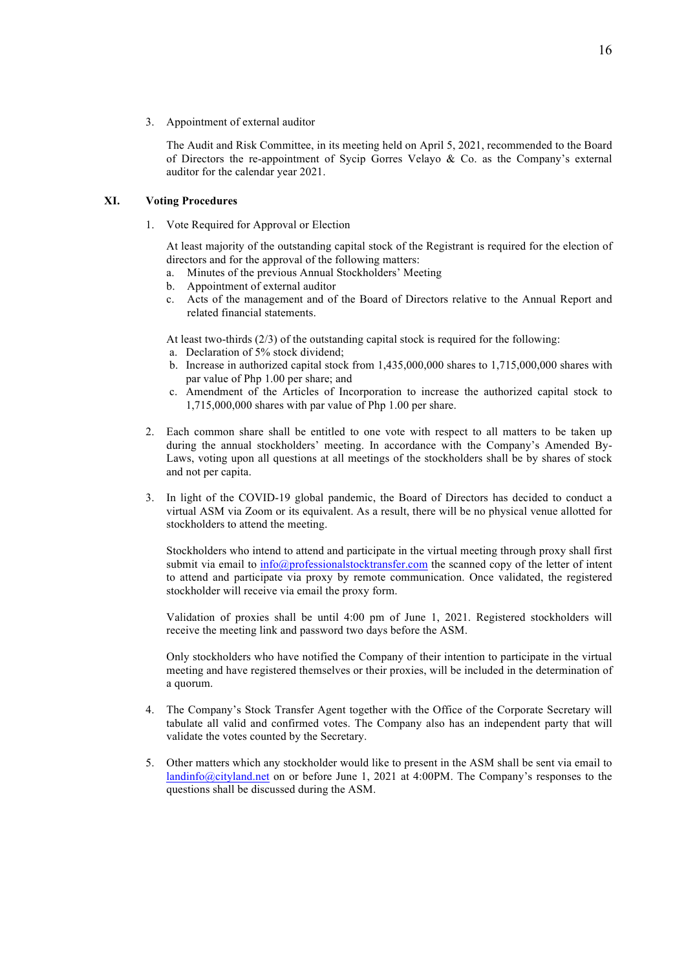3. Appointment of external auditor

The Audit and Risk Committee, in its meeting held on April 5, 2021, recommended to the Board of Directors the re-appointment of Sycip Gorres Velayo & Co. as the Company's external auditor for the calendar year 2021.

# **XI. Voting Procedures**

1. Vote Required for Approval or Election

At least majority of the outstanding capital stock of the Registrant is required for the election of directors and for the approval of the following matters:

- a. Minutes of the previous Annual Stockholders' Meeting
- b. Appointment of external auditor
- c. Acts of the management and of the Board of Directors relative to the Annual Report and related financial statements.

At least two-thirds  $(2/3)$  of the outstanding capital stock is required for the following:

- a. Declaration of 5% stock dividend;
- b. Increase in authorized capital stock from 1,435,000,000 shares to 1,715,000,000 shares with par value of Php 1.00 per share; and
- c. Amendment of the Articles of Incorporation to increase the authorized capital stock to 1,715,000,000 shares with par value of Php 1.00 per share.
- 2. Each common share shall be entitled to one vote with respect to all matters to be taken up during the annual stockholders' meeting. In accordance with the Company's Amended By-Laws, voting upon all questions at all meetings of the stockholders shall be by shares of stock and not per capita.
- 3. In light of the COVID-19 global pandemic, the Board of Directors has decided to conduct a virtual ASM via Zoom or its equivalent. As a result, there will be no physical venue allotted for stockholders to attend the meeting.

Stockholders who intend to attend and participate in the virtual meeting through proxy shall first submit via email to info@professionalstocktransfer.com the scanned copy of the letter of intent to attend and participate via proxy by remote communication. Once validated, the registered stockholder will receive via email the proxy form.

Validation of proxies shall be until 4:00 pm of June 1, 2021. Registered stockholders will receive the meeting link and password two days before the ASM.

Only stockholders who have notified the Company of their intention to participate in the virtual meeting and have registered themselves or their proxies, will be included in the determination of a quorum.

- 4. The Company's Stock Transfer Agent together with the Office of the Corporate Secretary will tabulate all valid and confirmed votes. The Company also has an independent party that will validate the votes counted by the Secretary.
- 5. Other matters which any stockholder would like to present in the ASM shall be sent via email to landinfo@cityland.net on or before June 1, 2021 at 4:00PM. The Company's responses to the questions shall be discussed during the ASM.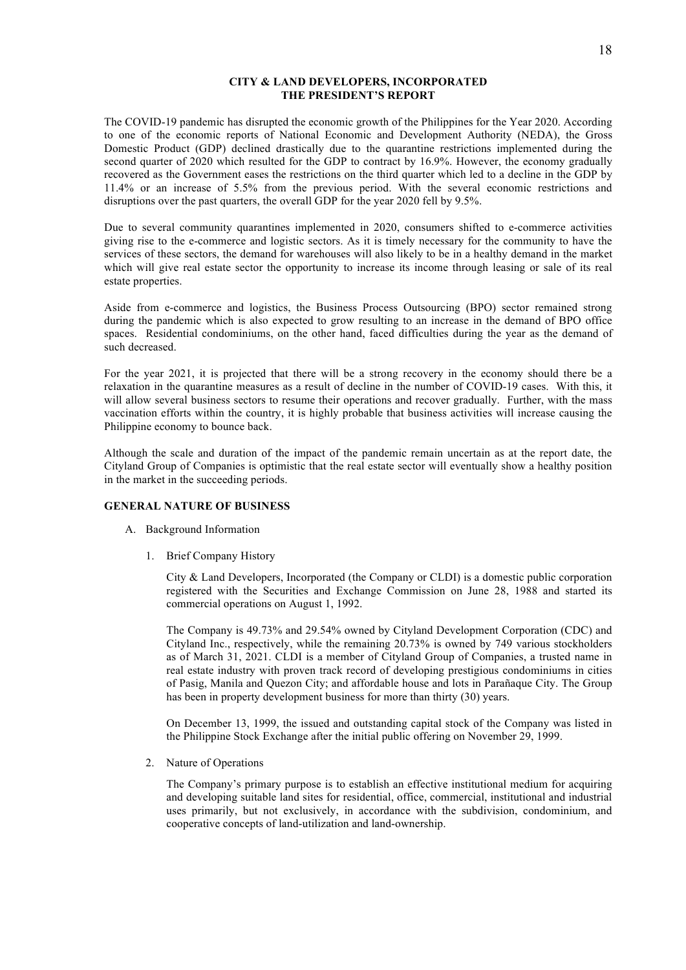# **CITY & LAND DEVELOPERS, INCORPORATED THE PRESIDENT'S REPORT**

The COVID-19 pandemic has disrupted the economic growth of the Philippines for the Year 2020. According to one of the economic reports of National Economic and Development Authority (NEDA), the Gross Domestic Product (GDP) declined drastically due to the quarantine restrictions implemented during the second quarter of 2020 which resulted for the GDP to contract by 16.9%. However, the economy gradually recovered as the Government eases the restrictions on the third quarter which led to a decline in the GDP by 11.4% or an increase of 5.5% from the previous period. With the several economic restrictions and disruptions over the past quarters, the overall GDP for the year 2020 fell by 9.5%.

Due to several community quarantines implemented in 2020, consumers shifted to e-commerce activities giving rise to the e-commerce and logistic sectors. As it is timely necessary for the community to have the services of these sectors, the demand for warehouses will also likely to be in a healthy demand in the market which will give real estate sector the opportunity to increase its income through leasing or sale of its real estate properties.

Aside from e-commerce and logistics, the Business Process Outsourcing (BPO) sector remained strong during the pandemic which is also expected to grow resulting to an increase in the demand of BPO office spaces. Residential condominiums, on the other hand, faced difficulties during the year as the demand of such decreased.

For the year 2021, it is projected that there will be a strong recovery in the economy should there be a relaxation in the quarantine measures as a result of decline in the number of COVID-19 cases. With this, it will allow several business sectors to resume their operations and recover gradually. Further, with the mass vaccination efforts within the country, it is highly probable that business activities will increase causing the Philippine economy to bounce back.

Although the scale and duration of the impact of the pandemic remain uncertain as at the report date, the Cityland Group of Companies is optimistic that the real estate sector will eventually show a healthy position in the market in the succeeding periods.

## **GENERAL NATURE OF BUSINESS**

- A. Background Information
	- 1. Brief Company History

City & Land Developers, Incorporated (the Company or CLDI) is a domestic public corporation registered with the Securities and Exchange Commission on June 28, 1988 and started its commercial operations on August 1, 1992.

The Company is 49.73% and 29.54% owned by Cityland Development Corporation (CDC) and Cityland Inc., respectively, while the remaining 20.73% is owned by 749 various stockholders as of March 31, 2021. CLDI is a member of Cityland Group of Companies, a trusted name in real estate industry with proven track record of developing prestigious condominiums in cities of Pasig, Manila and Quezon City; and affordable house and lots in Parañaque City. The Group has been in property development business for more than thirty (30) years.

On December 13, 1999, the issued and outstanding capital stock of the Company was listed in the Philippine Stock Exchange after the initial public offering on November 29, 1999.

2. Nature of Operations

The Company's primary purpose is to establish an effective institutional medium for acquiring and developing suitable land sites for residential, office, commercial, institutional and industrial uses primarily, but not exclusively, in accordance with the subdivision, condominium, and cooperative concepts of land-utilization and land-ownership.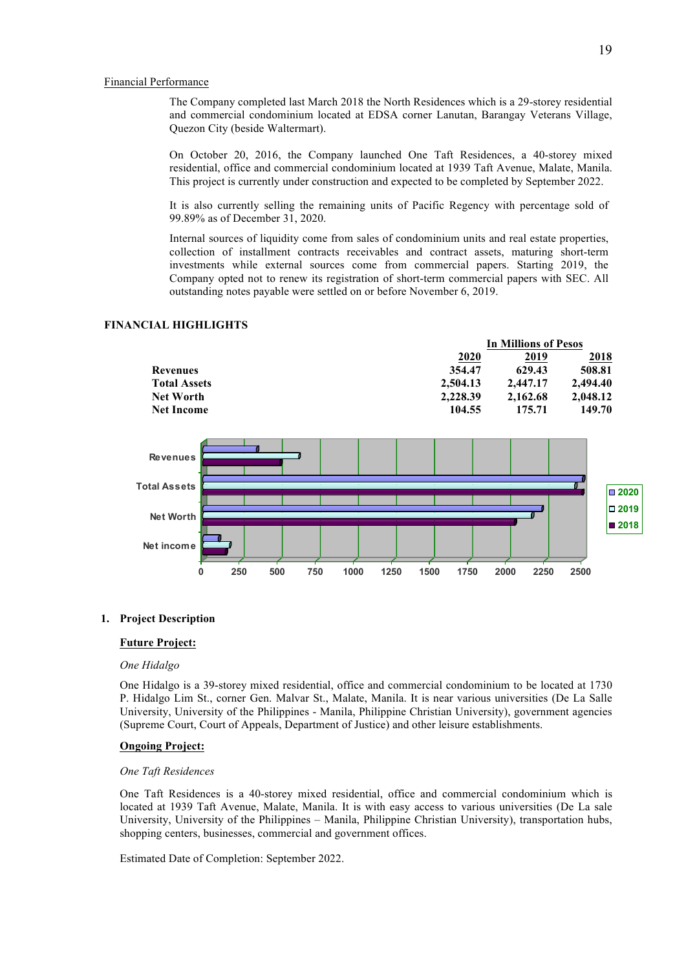#### Financial Performance

The Company completed last March 2018 the North Residences which is a 29-storey residential and commercial condominium located at EDSA corner Lanutan, Barangay Veterans Village, Quezon City (beside Waltermart).

On October 20, 2016, the Company launched One Taft Residences, a 40-storey mixed residential, office and commercial condominium located at 1939 Taft Avenue, Malate, Manila. This project is currently under construction and expected to be completed by September 2022.

It is also currently selling the remaining units of Pacific Regency with percentage sold of 99.89% as of December 31, 2020.

Internal sources of liquidity come from sales of condominium units and real estate properties, collection of installment contracts receivables and contract assets, maturing short-term investments while external sources come from commercial papers. Starting 2019, the Company opted not to renew its registration of short-term commercial papers with SEC. All outstanding notes payable were settled on or before November 6, 2019.



# **FINANCIAL HIGHLIGHTS**

#### **1. Project Description**

#### **Future Project:**

#### *One Hidalgo*

One Hidalgo is a 39-storey mixed residential, office and commercial condominium to be located at 1730 P. Hidalgo Lim St., corner Gen. Malvar St., Malate, Manila. It is near various universities (De La Salle University, University of the Philippines - Manila, Philippine Christian University), government agencies (Supreme Court, Court of Appeals, Department of Justice) and other leisure establishments.

#### **Ongoing Project:**

#### *One Taft Residences*

One Taft Residences is a 40-storey mixed residential, office and commercial condominium which is located at 1939 Taft Avenue, Malate, Manila. It is with easy access to various universities (De La sale University, University of the Philippines – Manila, Philippine Christian University), transportation hubs, shopping centers, businesses, commercial and government offices.

Estimated Date of Completion: September 2022.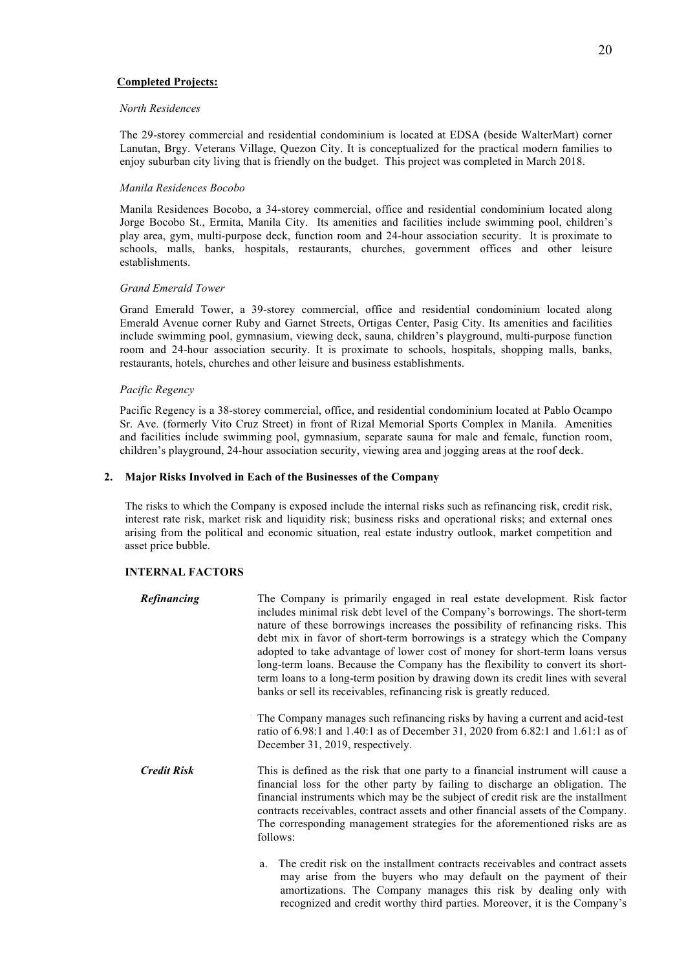#### **Completed Projects:**

#### *North Residences*

The 29-storey commercial and residential condominium is located at EDSA (beside WalterMart) corner Lanutan, Brgy. Veterans Village, Quezon City. It is conceptualized for the practical modern families to enjoy suburban city living that is friendly on the budget. This project was completed in March 2018.

#### *Manila Residences Bocobo*

Manila Residences Bocobo, a 34-storey commercial, office and residential condominium located along Jorge Bocobo St., Ermita, Manila City. Its amenities and facilities include swimming pool, children's play area, gym, multi-purpose deck, function room and 24-hour association security. It is proximate to schools, malls, banks, hospitals, restaurants, churches, government offices and other leisure establishments.

## *Grand Emerald Tower*

Grand Emerald Tower, a 39-storey commercial, office and residential condominium located along Emerald Avenue corner Ruby and Garnet Streets, Ortigas Center, Pasig City. Its amenities and facilities include swimming pool, gymnasium, viewing deck, sauna, children's playground, multi-purpose function room and 24-hour association security. It is proximate to schools, hospitals, shopping malls, banks, restaurants, hotels, churches and other leisure and business establishments.

#### *Pacific Regency*

Pacific Regency is a 38-storey commercial, office, and residential condominium located at Pablo Ocampo Sr. Ave. (formerly Vito Cruz Street) in front of Rizal Memorial Sports Complex in Manila. Amenities and facilities include swimming pool, gymnasium, separate sauna for male and female, function room, children's playground, 24-hour association security, viewing area and jogging areas at the roof deck.

# **2. Major Risks Involved in Each of the Businesses of the Company**

The risks to which the Company is exposed include the internal risks such as refinancing risk, credit risk, interest rate risk, market risk and liquidity risk; business risks and operational risks; and external ones arising from the political and economic situation, real estate industry outlook, market competition and asset price bubble.

#### **INTERNAL FACTORS**

| Refinancing        | The Company is primarily engaged in real estate development. Risk factor<br>includes minimal risk debt level of the Company's borrowings. The short-term<br>nature of these borrowings increases the possibility of refinancing risks. This<br>debt mix in favor of short-term borrowings is a strategy which the Company<br>adopted to take advantage of lower cost of money for short-term loans versus<br>long-term loans. Because the Company has the flexibility to convert its short-<br>term loans to a long-term position by drawing down its credit lines with several<br>banks or sell its receivables, refinancing risk is greatly reduced. |
|--------------------|--------------------------------------------------------------------------------------------------------------------------------------------------------------------------------------------------------------------------------------------------------------------------------------------------------------------------------------------------------------------------------------------------------------------------------------------------------------------------------------------------------------------------------------------------------------------------------------------------------------------------------------------------------|
|                    | The Company manages such refinancing risks by having a current and acid-test<br>ratio of 6.98:1 and 1.40:1 as of December 31, 2020 from 6.82:1 and 1.61:1 as of<br>December 31, 2019, respectively.                                                                                                                                                                                                                                                                                                                                                                                                                                                    |
| <b>Credit Risk</b> | This is defined as the risk that one party to a financial instrument will cause a<br>financial loss for the other party by failing to discharge an obligation. The<br>financial instruments which may be the subject of credit risk are the installment<br>contracts receivables, contract assets and other financial assets of the Company.<br>The corresponding management strategies for the aforementioned risks are as<br>follows:                                                                                                                                                                                                                |
|                    | The credit risk on the installment contracts receivables and contract assets<br>a.<br>may arise from the buyers who may default on the payment of their                                                                                                                                                                                                                                                                                                                                                                                                                                                                                                |

amortizations. The Company manages this risk by dealing only with recognized and credit worthy third parties. Moreover, it is the Company's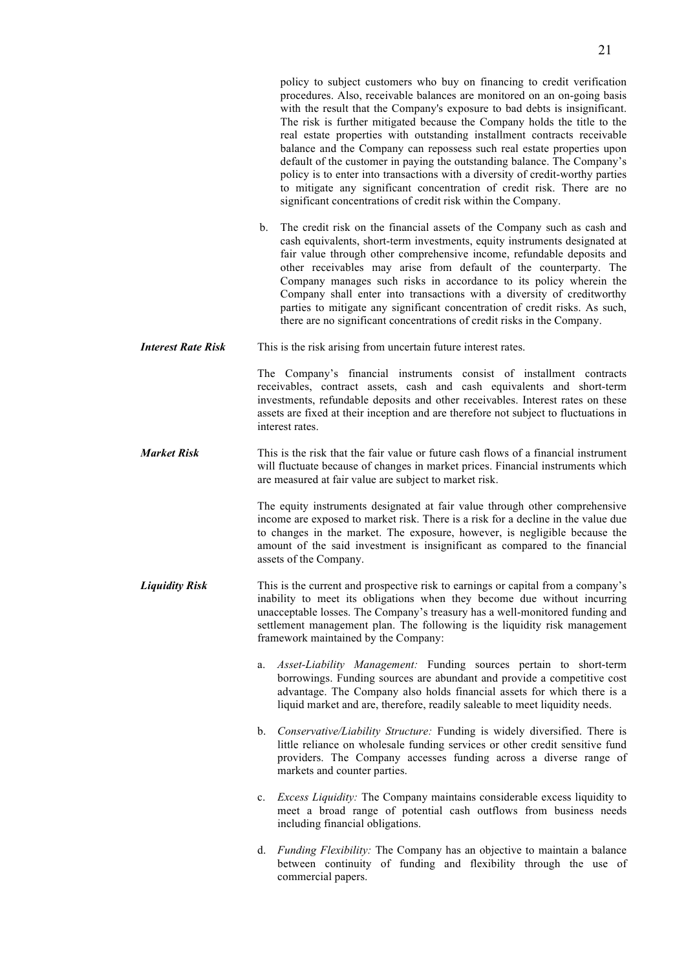|                           | policy to subject customers who buy on financing to credit verification<br>procedures. Also, receivable balances are monitored on an on-going basis<br>with the result that the Company's exposure to bad debts is insignificant.<br>The risk is further mitigated because the Company holds the title to the<br>real estate properties with outstanding installment contracts receivable<br>balance and the Company can repossess such real estate properties upon<br>default of the customer in paying the outstanding balance. The Company's<br>policy is to enter into transactions with a diversity of credit-worthy parties<br>to mitigate any significant concentration of credit risk. There are no<br>significant concentrations of credit risk within the Company. |
|---------------------------|------------------------------------------------------------------------------------------------------------------------------------------------------------------------------------------------------------------------------------------------------------------------------------------------------------------------------------------------------------------------------------------------------------------------------------------------------------------------------------------------------------------------------------------------------------------------------------------------------------------------------------------------------------------------------------------------------------------------------------------------------------------------------|
|                           | The credit risk on the financial assets of the Company such as cash and<br>$\mathbf{b}$ .<br>cash equivalents, short-term investments, equity instruments designated at<br>fair value through other comprehensive income, refundable deposits and<br>other receivables may arise from default of the counterparty. The<br>Company manages such risks in accordance to its policy wherein the<br>Company shall enter into transactions with a diversity of creditworthy<br>parties to mitigate any significant concentration of credit risks. As such,<br>there are no significant concentrations of credit risks in the Company.                                                                                                                                             |
| <b>Interest Rate Risk</b> | This is the risk arising from uncertain future interest rates.                                                                                                                                                                                                                                                                                                                                                                                                                                                                                                                                                                                                                                                                                                               |
|                           | The Company's financial instruments consist of installment contracts<br>receivables, contract assets, cash and cash equivalents and short-term<br>investments, refundable deposits and other receivables. Interest rates on these<br>assets are fixed at their inception and are therefore not subject to fluctuations in<br>interest rates.                                                                                                                                                                                                                                                                                                                                                                                                                                 |
| <b>Market Risk</b>        | This is the risk that the fair value or future cash flows of a financial instrument<br>will fluctuate because of changes in market prices. Financial instruments which<br>are measured at fair value are subject to market risk.                                                                                                                                                                                                                                                                                                                                                                                                                                                                                                                                             |
|                           | The equity instruments designated at fair value through other comprehensive<br>income are exposed to market risk. There is a risk for a decline in the value due<br>to changes in the market. The exposure, however, is negligible because the<br>amount of the said investment is insignificant as compared to the financial<br>assets of the Company.                                                                                                                                                                                                                                                                                                                                                                                                                      |
| <b>Liquidity Risk</b>     | This is the current and prospective risk to earnings or capital from a company's<br>inability to meet its obligations when they become due without incurring<br>unacceptable losses. The Company's treasury has a well-monitored funding and<br>settlement management plan. The following is the liquidity risk management<br>framework maintained by the Company:                                                                                                                                                                                                                                                                                                                                                                                                           |
|                           | Asset-Liability Management: Funding sources pertain to short-term<br>a.<br>borrowings. Funding sources are abundant and provide a competitive cost<br>advantage. The Company also holds financial assets for which there is a<br>liquid market and are, therefore, readily saleable to meet liquidity needs.                                                                                                                                                                                                                                                                                                                                                                                                                                                                 |
|                           | b. Conservative/Liability Structure: Funding is widely diversified. There is<br>little reliance on wholesale funding services or other credit sensitive fund<br>providers. The Company accesses funding across a diverse range of<br>markets and counter parties.                                                                                                                                                                                                                                                                                                                                                                                                                                                                                                            |
|                           | c. Excess Liquidity: The Company maintains considerable excess liquidity to<br>meet a broad range of potential cash outflows from business needs<br>including financial obligations.                                                                                                                                                                                                                                                                                                                                                                                                                                                                                                                                                                                         |
|                           | d. Funding Flexibility: The Company has an objective to maintain a balance<br>between continuity of funding and flexibility through the use of<br>commercial papers.                                                                                                                                                                                                                                                                                                                                                                                                                                                                                                                                                                                                         |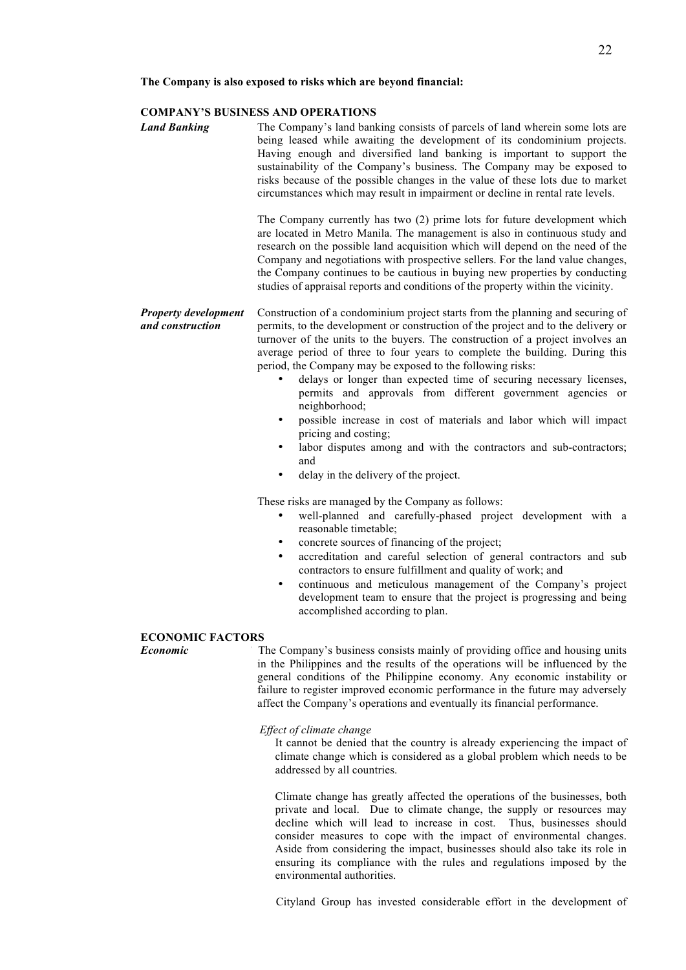#### **The Company is also exposed to risks which are beyond financial:**

# **COMPANY'S BUSINESS AND OPERATIONS**

*Land Banking* The Company's land banking consists of parcels of land wherein some lots are being leased while awaiting the development of its condominium projects. Having enough and diversified land banking is important to support the sustainability of the Company's business. The Company may be exposed to risks because of the possible changes in the value of these lots due to market circumstances which may result in impairment or decline in rental rate levels.

> The Company currently has two (2) prime lots for future development which are located in Metro Manila. The management is also in continuous study and research on the possible land acquisition which will depend on the need of the Company and negotiations with prospective sellers. For the land value changes, the Company continues to be cautious in buying new properties by conducting studies of appraisal reports and conditions of the property within the vicinity.

*Property development and construction* Construction of a condominium project starts from the planning and securing of permits, to the development or construction of the project and to the delivery or turnover of the units to the buyers. The construction of a project involves an average period of three to four years to complete the building. During this period, the Company may be exposed to the following risks:

- delays or longer than expected time of securing necessary licenses, permits and approvals from different government agencies or neighborhood;
- possible increase in cost of materials and labor which will impact pricing and costing;
- labor disputes among and with the contractors and sub-contractors; and
- delay in the delivery of the project.

These risks are managed by the Company as follows:

- well-planned and carefully-phased project development with a reasonable timetable;
- concrete sources of financing of the project;
- accreditation and careful selection of general contractors and sub contractors to ensure fulfillment and quality of work; and
- continuous and meticulous management of the Company's project development team to ensure that the project is progressing and being accomplished according to plan.

### **ECONOMIC FACTORS**

*Economic* The Company's business consists mainly of providing office and housing units in the Philippines and the results of the operations will be influenced by the general conditions of the Philippine economy. Any economic instability or failure to register improved economic performance in the future may adversely affect the Company's operations and eventually its financial performance.

*Effect of climate change*

It cannot be denied that the country is already experiencing the impact of climate change which is considered as a global problem which needs to be addressed by all countries.

Climate change has greatly affected the operations of the businesses, both private and local. Due to climate change, the supply or resources may decline which will lead to increase in cost. Thus, businesses should consider measures to cope with the impact of environmental changes. Aside from considering the impact, businesses should also take its role in ensuring its compliance with the rules and regulations imposed by the environmental authorities.

Cityland Group has invested considerable effort in the development of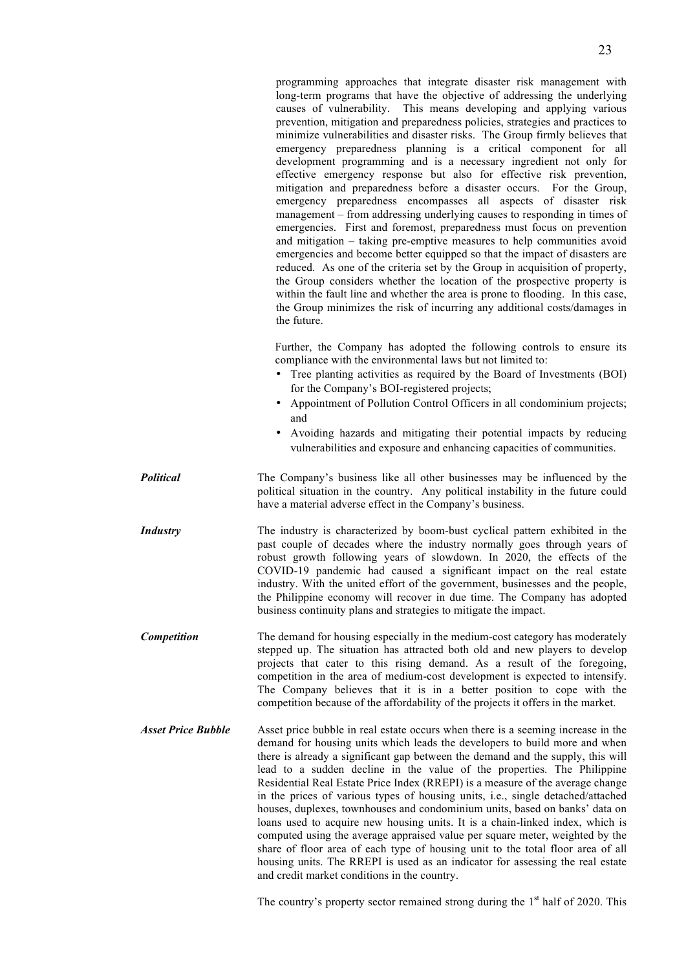programming approaches that integrate disaster risk management with long-term programs that have the objective of addressing the underlying causes of vulnerability. This means developing and applying various prevention, mitigation and preparedness policies, strategies and practices to minimize vulnerabilities and disaster risks. The Group firmly believes that emergency preparedness planning is a critical component for all development programming and is a necessary ingredient not only for effective emergency response but also for effective risk prevention, mitigation and preparedness before a disaster occurs. For the Group, emergency preparedness encompasses all aspects of disaster risk management – from addressing underlying causes to responding in times of emergencies. First and foremost, preparedness must focus on prevention and mitigation – taking pre-emptive measures to help communities avoid emergencies and become better equipped so that the impact of disasters are reduced. As one of the criteria set by the Group in acquisition of property, the Group considers whether the location of the prospective property is within the fault line and whether the area is prone to flooding. In this case, the Group minimizes the risk of incurring any additional costs/damages in the future.

Further, the Company has adopted the following controls to ensure its compliance with the environmental laws but not limited to:

- Tree planting activities as required by the Board of Investments (BOI) for the Company's BOI-registered projects;
- Appointment of Pollution Control Officers in all condominium projects; and
- Avoiding hazards and mitigating their potential impacts by reducing vulnerabilities and exposure and enhancing capacities of communities.
- *Political* The Company's business like all other businesses may be influenced by the political situation in the country. Any political instability in the future could have a material adverse effect in the Company's business.
- *Industry* The industry is characterized by boom-bust cyclical pattern exhibited in the past couple of decades where the industry normally goes through years of robust growth following years of slowdown. In 2020, the effects of the COVID-19 pandemic had caused a significant impact on the real estate industry. With the united effort of the government, businesses and the people, the Philippine economy will recover in due time. The Company has adopted business continuity plans and strategies to mitigate the impact.
- **Competition** The demand for housing especially in the medium-cost category has moderately stepped up. The situation has attracted both old and new players to develop projects that cater to this rising demand. As a result of the foregoing, competition in the area of medium-cost development is expected to intensify. The Company believes that it is in a better position to cope with the competition because of the affordability of the projects it offers in the market.
- *Asset Price Bubble* Asset price bubble in real estate occurs when there is a seeming increase in the demand for housing units which leads the developers to build more and when there is already a significant gap between the demand and the supply, this will lead to a sudden decline in the value of the properties. The Philippine Residential Real Estate Price Index (RREPI) is a measure of the average change in the prices of various types of housing units, i.e., single detached/attached houses, duplexes, townhouses and condominium units, based on banks' data on loans used to acquire new housing units. It is a chain-linked index, which is computed using the average appraised value per square meter, weighted by the share of floor area of each type of housing unit to the total floor area of all housing units. The RREPI is used as an indicator for assessing the real estate and credit market conditions in the country.

The country's property sector remained strong during the  $1<sup>st</sup>$  half of 2020. This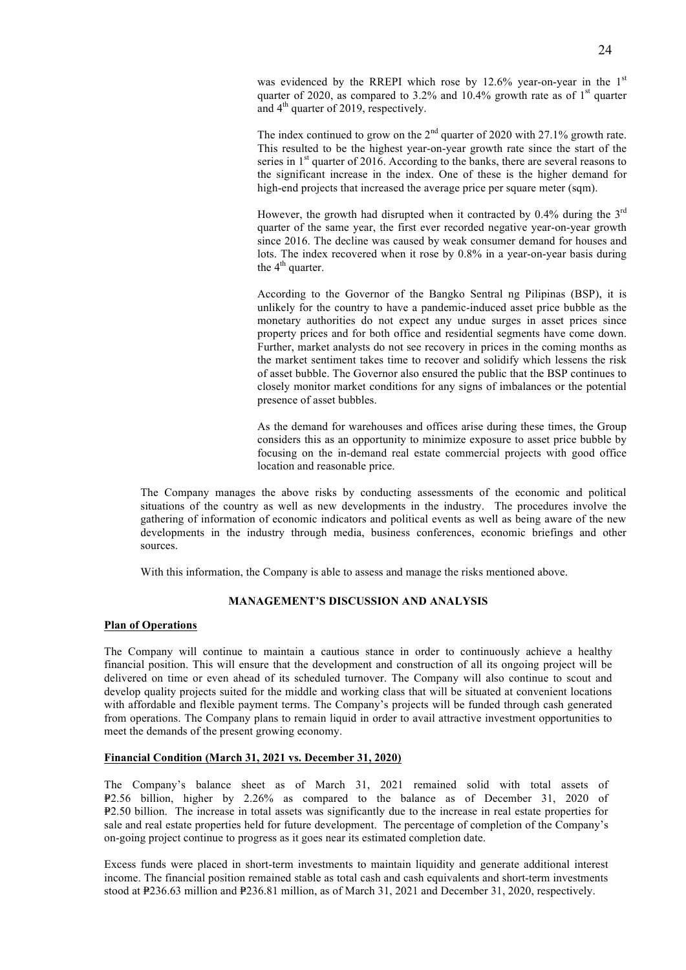was evidenced by the RREPI which rose by  $12.6\%$  year-on-year in the  $1<sup>st</sup>$ quarter of 2020, as compared to 3.2% and 10.4% growth rate as of  $1<sup>st</sup>$  quarter and  $4<sup>th</sup>$  quarter of 2019, respectively.

The index continued to grow on the  $2<sup>nd</sup>$  quarter of 2020 with 27.1% growth rate. This resulted to be the highest year-on-year growth rate since the start of the series in  $1<sup>st</sup>$  quarter of 2016. According to the banks, there are several reasons to the significant increase in the index. One of these is the higher demand for high-end projects that increased the average price per square meter (sqm).

However, the growth had disrupted when it contracted by  $0.4\%$  during the  $3<sup>rd</sup>$ quarter of the same year, the first ever recorded negative year-on-year growth since 2016. The decline was caused by weak consumer demand for houses and lots. The index recovered when it rose by 0.8% in a year-on-year basis during the  $4<sup>th</sup>$  quarter.

According to the Governor of the Bangko Sentral ng Pilipinas (BSP), it is unlikely for the country to have a pandemic-induced asset price bubble as the monetary authorities do not expect any undue surges in asset prices since property prices and for both office and residential segments have come down. Further, market analysts do not see recovery in prices in the coming months as the market sentiment takes time to recover and solidify which lessens the risk of asset bubble. The Governor also ensured the public that the BSP continues to closely monitor market conditions for any signs of imbalances or the potential presence of asset bubbles.

As the demand for warehouses and offices arise during these times, the Group considers this as an opportunity to minimize exposure to asset price bubble by focusing on the in-demand real estate commercial projects with good office location and reasonable price.

The Company manages the above risks by conducting assessments of the economic and political situations of the country as well as new developments in the industry. The procedures involve the gathering of information of economic indicators and political events as well as being aware of the new developments in the industry through media, business conferences, economic briefings and other sources.

With this information, the Company is able to assess and manage the risks mentioned above.

#### **MANAGEMENT'S DISCUSSION AND ANALYSIS**

# **Plan of Operations**

The Company will continue to maintain a cautious stance in order to continuously achieve a healthy financial position. This will ensure that the development and construction of all its ongoing project will be delivered on time or even ahead of its scheduled turnover. The Company will also continue to scout and develop quality projects suited for the middle and working class that will be situated at convenient locations with affordable and flexible payment terms. The Company's projects will be funded through cash generated from operations. The Company plans to remain liquid in order to avail attractive investment opportunities to meet the demands of the present growing economy.

#### **Financial Condition (March 31, 2021 vs. December 31, 2020)**

The Company's balance sheet as of March 31, 2021 remained solid with total assets of =P2.56 billion, higher by 2.26% as compared to the balance as of December 31, 2020 of =P2.50 billion. The increase in total assets was significantly due to the increase in real estate properties for sale and real estate properties held for future development. The percentage of completion of the Company's on-going project continue to progress as it goes near its estimated completion date.

Excess funds were placed in short-term investments to maintain liquidity and generate additional interest income. The financial position remained stable as total cash and cash equivalents and short-term investments stood at  $P236.63$  million and  $P236.81$  million, as of March 31, 2021 and December 31, 2020, respectively.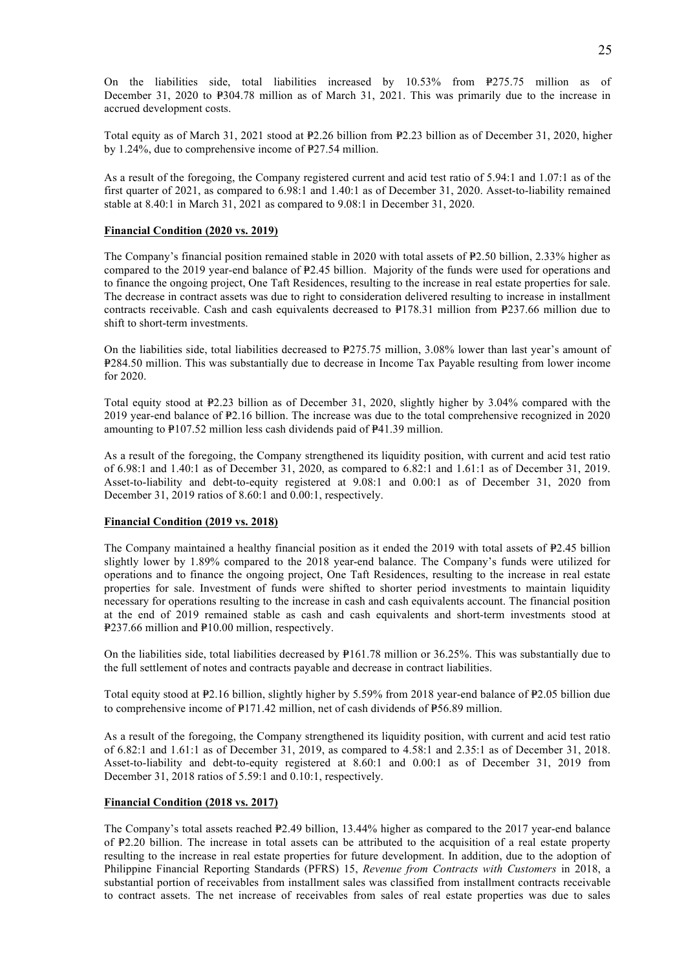On the liabilities side, total liabilities increased by  $10.53\%$  from  $P275.75$  million as of December 31, 2020 to  $\text{\textsterling}304.78$  million as of March 31, 2021. This was primarily due to the increase in accrued development costs.

Total equity as of March 31, 2021 stood at  $\overline{P2.26}$  billion from  $\overline{P2.23}$  billion as of December 31, 2020, higher by 1.24%, due to comprehensive income of  $\frac{127.54 \text{ million}}{24.54 \text{ million}}$ .

As a result of the foregoing, the Company registered current and acid test ratio of 5.94:1 and 1.07:1 as of the first quarter of 2021, as compared to 6.98:1 and 1.40:1 as of December 31, 2020. Asset-to-liability remained stable at 8.40:1 in March 31, 2021 as compared to 9.08:1 in December 31, 2020.

# **Financial Condition (2020 vs. 2019)**

The Company's financial position remained stable in 2020 with total assets of P2.50 billion, 2.33% higher as compared to the 2019 year-end balance of  $P2.45$  billion. Majority of the funds were used for operations and to finance the ongoing project, One Taft Residences, resulting to the increase in real estate properties for sale. The decrease in contract assets was due to right to consideration delivered resulting to increase in installment contracts receivable. Cash and cash equivalents decreased to  $P178.31$  million from  $P237.66$  million due to shift to short-term investments.

On the liabilities side, total liabilities decreased to  $P275.75$  million, 3.08% lower than last year's amount of =P284.50 million. This was substantially due to decrease in Income Tax Payable resulting from lower income for 2020.

Total equity stood at  $\text{\sf P2.23}$  billion as of December 31, 2020, slightly higher by 3.04% compared with the 2019 year-end balance of  $E2.16$  billion. The increase was due to the total comprehensive recognized in 2020 amounting to  $P107.52$  million less cash dividends paid of  $P41.39$  million.

As a result of the foregoing, the Company strengthened its liquidity position, with current and acid test ratio of 6.98:1 and 1.40:1 as of December 31, 2020, as compared to 6.82:1 and 1.61:1 as of December 31, 2019. Asset-to-liability and debt-to-equity registered at 9.08:1 and 0.00:1 as of December 31, 2020 from December 31, 2019 ratios of 8.60:1 and 0.00:1, respectively.

#### **Financial Condition (2019 vs. 2018)**

The Company maintained a healthy financial position as it ended the 2019 with total assets of  $E2.45$  billion slightly lower by 1.89% compared to the 2018 year-end balance. The Company's funds were utilized for operations and to finance the ongoing project, One Taft Residences, resulting to the increase in real estate properties for sale. Investment of funds were shifted to shorter period investments to maintain liquidity necessary for operations resulting to the increase in cash and cash equivalents account. The financial position at the end of 2019 remained stable as cash and cash equivalents and short-term investments stood at  $E$ 237.66 million and  $E$ 10.00 million, respectively.

On the liabilities side, total liabilities decreased by  $P161.78$  million or 36.25%. This was substantially due to the full settlement of notes and contracts payable and decrease in contract liabilities.

Total equity stood at  $\text{\texttt{P2}}.16$  billion, slightly higher by 5.59% from 2018 year-end balance of  $\text{\texttt{P2}}.05$  billion due to comprehensive income of  $P171.42$  million, net of cash dividends of  $P56.89$  million.

As a result of the foregoing, the Company strengthened its liquidity position, with current and acid test ratio of 6.82:1 and 1.61:1 as of December 31, 2019, as compared to 4.58:1 and 2.35:1 as of December 31, 2018. Asset-to-liability and debt-to-equity registered at 8.60:1 and 0.00:1 as of December 31, 2019 from December 31, 2018 ratios of 5.59:1 and 0.10:1, respectively.

# **Financial Condition (2018 vs. 2017)**

The Company's total assets reached  $E2.49$  billion, 13.44% higher as compared to the 2017 year-end balance of  $E$ 2.20 billion. The increase in total assets can be attributed to the acquisition of a real estate property resulting to the increase in real estate properties for future development. In addition, due to the adoption of Philippine Financial Reporting Standards (PFRS) 15, *Revenue from Contracts with Customers* in 2018, a substantial portion of receivables from installment sales was classified from installment contracts receivable to contract assets. The net increase of receivables from sales of real estate properties was due to sales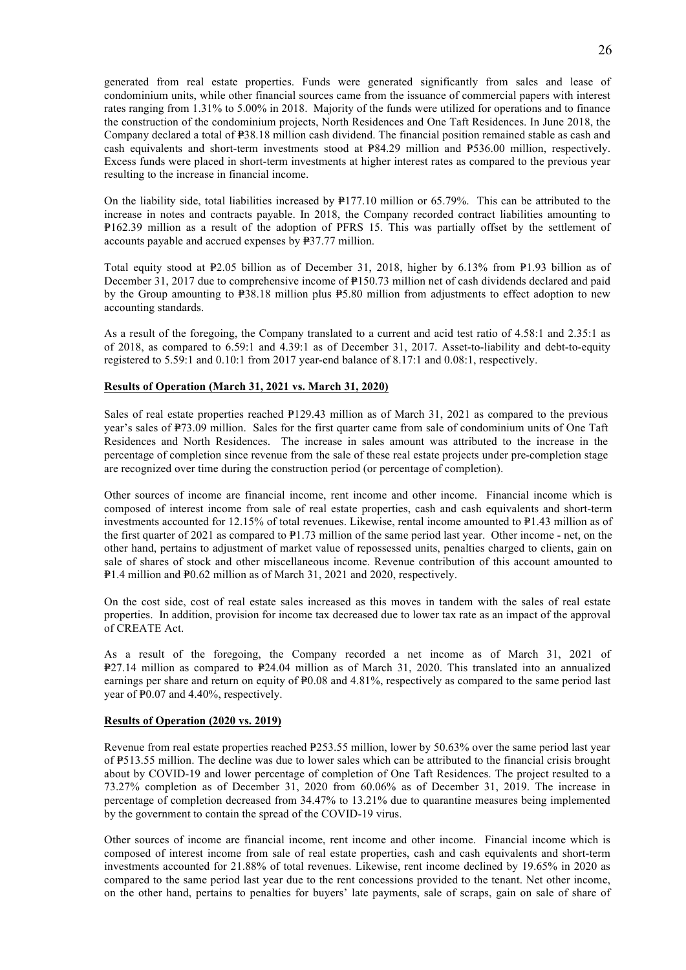generated from real estate properties. Funds were generated significantly from sales and lease of condominium units, while other financial sources came from the issuance of commercial papers with interest rates ranging from 1.31% to 5.00% in 2018. Majority of the funds were utilized for operations and to finance the construction of the condominium projects, North Residences and One Taft Residences. In June 2018, the Company declared a total of  $-$ P38.18 million cash dividend. The financial position remained stable as cash and cash equivalents and short-term investments stood at  $P84.29$  million and  $P536.00$  million, respectively. Excess funds were placed in short-term investments at higher interest rates as compared to the previous year resulting to the increase in financial income.

On the liability side, total liabilities increased by  $P177.10$  million or 65.79%. This can be attributed to the increase in notes and contracts payable. In 2018, the Company recorded contract liabilities amounting to =P162.39 million as a result of the adoption of PFRS 15. This was partially offset by the settlement of accounts payable and accrued expenses by  $\frac{1}{2}$  27.77 million.

Total equity stood at  $\text{\texttt{P2.05}}$  billion as of December 31, 2018, higher by 6.13% from  $\text{\texttt{P1.93}}$  billion as of December 31, 2017 due to comprehensive income of  $P150.73$  million net of cash dividends declared and paid by the Group amounting to  $P38.18$  million plus  $P5.80$  million from adjustments to effect adoption to new accounting standards.

As a result of the foregoing, the Company translated to a current and acid test ratio of 4.58:1 and 2.35:1 as of 2018, as compared to 6.59:1 and 4.39:1 as of December 31, 2017. Asset-to-liability and debt-to-equity registered to 5.59:1 and 0.10:1 from 2017 year-end balance of 8.17:1 and 0.08:1, respectively.

## **Results of Operation (March 31, 2021 vs. March 31, 2020)**

Sales of real estate properties reached  $P129.43$  million as of March 31, 2021 as compared to the previous year's sales of P73.09 million. Sales for the first quarter came from sale of condominium units of One Taft Residences and North Residences. The increase in sales amount was attributed to the increase in the percentage of completion since revenue from the sale of these real estate projects under pre-completion stage are recognized over time during the construction period (or percentage of completion).

Other sources of income are financial income, rent income and other income. Financial income which is composed of interest income from sale of real estate properties, cash and cash equivalents and short-term investments accounted for 12.15% of total revenues. Likewise, rental income amounted to P1.43 million as of the first quarter of 2021 as compared to  $P1.73$  million of the same period last year. Other income - net, on the other hand, pertains to adjustment of market value of repossessed units, penalties charged to clients, gain on sale of shares of stock and other miscellaneous income. Revenue contribution of this account amounted to  $\text{P1.4}$  million and  $\text{P0.62}$  million as of March 31, 2021 and 2020, respectively.

On the cost side, cost of real estate sales increased as this moves in tandem with the sales of real estate properties. In addition, provision for income tax decreased due to lower tax rate as an impact of the approval of CREATE Act.

As a result of the foregoing, the Company recorded a net income as of March 31, 2021 of =P27.14 million as compared to =P24.04 million as of March 31, 2020. This translated into an annualized earnings per share and return on equity of P0.08 and 4.81%, respectively as compared to the same period last year of  $\text{\texttt{P}}0.07$  and 4.40%, respectively.

#### **Results of Operation (2020 vs. 2019)**

Revenue from real estate properties reached  $P253.55$  million, lower by 50.63% over the same period last year of  $P513.55$  million. The decline was due to lower sales which can be attributed to the financial crisis brought about by COVID-19 and lower percentage of completion of One Taft Residences. The project resulted to a 73.27% completion as of December 31, 2020 from 60.06% as of December 31, 2019. The increase in percentage of completion decreased from 34.47% to 13.21% due to quarantine measures being implemented by the government to contain the spread of the COVID-19 virus.

Other sources of income are financial income, rent income and other income. Financial income which is composed of interest income from sale of real estate properties, cash and cash equivalents and short-term investments accounted for 21.88% of total revenues. Likewise, rent income declined by 19.65% in 2020 as compared to the same period last year due to the rent concessions provided to the tenant. Net other income, on the other hand, pertains to penalties for buyers' late payments, sale of scraps, gain on sale of share of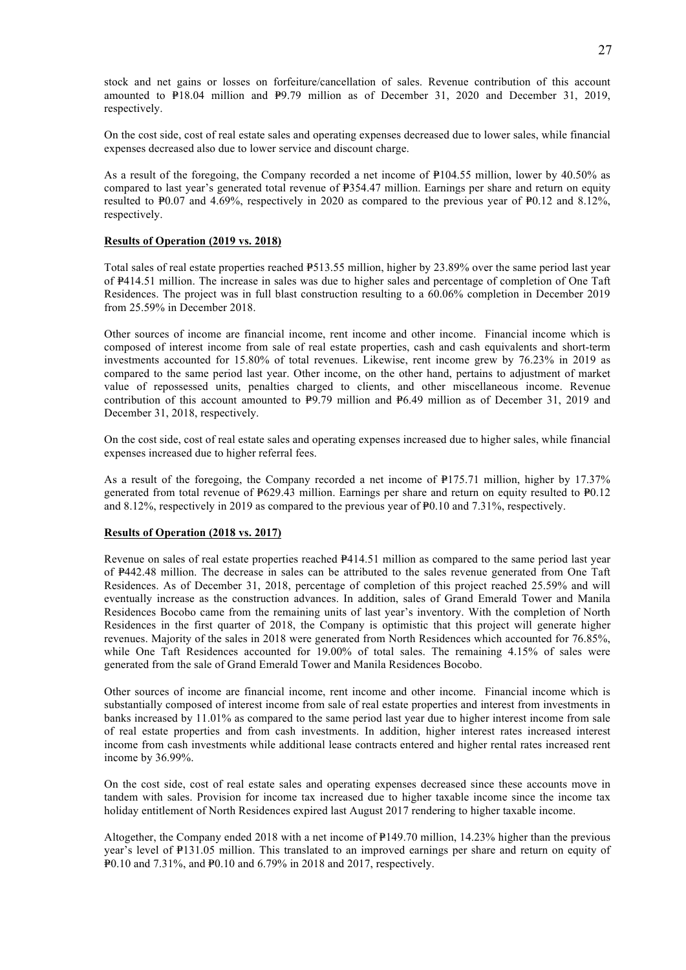stock and net gains or losses on forfeiture/cancellation of sales. Revenue contribution of this account amounted to  $\overline{P18.04}$  million and  $\overline{P9.79}$  million as of December 31, 2020 and December 31, 2019, respectively.

On the cost side, cost of real estate sales and operating expenses decreased due to lower sales, while financial expenses decreased also due to lower service and discount charge.

As a result of the foregoing, the Company recorded a net income of  $P104.55$  million, lower by 40.50% as compared to last year's generated total revenue of  $\overline{P}354.47$  million. Earnings per share and return on equity resulted to  $\text{\textsterling}0.07$  and 4.69%, respectively in 2020 as compared to the previous year of  $\text{\textsterling}0.12$  and 8.12%, respectively.

# **Results of Operation (2019 vs. 2018)**

Total sales of real estate properties reached  $\frac{P513.55 \text{ million}}{P513.55 \text{ million}}$ , higher by 23.89% over the same period last year of  $\texttt{P414.51}$  million. The increase in sales was due to higher sales and percentage of completion of One Taft Residences. The project was in full blast construction resulting to a 60.06% completion in December 2019 from 25.59% in December 2018.

Other sources of income are financial income, rent income and other income. Financial income which is composed of interest income from sale of real estate properties, cash and cash equivalents and short-term investments accounted for 15.80% of total revenues. Likewise, rent income grew by 76.23% in 2019 as compared to the same period last year. Other income, on the other hand, pertains to adjustment of market value of repossessed units, penalties charged to clients, and other miscellaneous income. Revenue contribution of this account amounted to  $\overline{P9.79}$  million and  $\overline{P6.49}$  million as of December 31, 2019 and December 31, 2018, respectively.

On the cost side, cost of real estate sales and operating expenses increased due to higher sales, while financial expenses increased due to higher referral fees.

As a result of the foregoing, the Company recorded a net income of  $P175.71$  million, higher by 17.37% generated from total revenue of  $P629.43$  million. Earnings per share and return on equity resulted to  $P0.12$ and 8.12%, respectively in 2019 as compared to the previous year of  $\text{\texttt{P0.10}}$  and 7.31%, respectively.

#### **Results of Operation (2018 vs. 2017)**

Revenue on sales of real estate properties reached  $P414.51$  million as compared to the same period last year of  $P442.48$  million. The decrease in sales can be attributed to the sales revenue generated from One Taft Residences. As of December 31, 2018, percentage of completion of this project reached 25.59% and will eventually increase as the construction advances. In addition, sales of Grand Emerald Tower and Manila Residences Bocobo came from the remaining units of last year's inventory. With the completion of North Residences in the first quarter of 2018, the Company is optimistic that this project will generate higher revenues. Majority of the sales in 2018 were generated from North Residences which accounted for 76.85%, while One Taft Residences accounted for 19.00% of total sales. The remaining 4.15% of sales were generated from the sale of Grand Emerald Tower and Manila Residences Bocobo.

Other sources of income are financial income, rent income and other income. Financial income which is substantially composed of interest income from sale of real estate properties and interest from investments in banks increased by 11.01% as compared to the same period last year due to higher interest income from sale of real estate properties and from cash investments. In addition, higher interest rates increased interest income from cash investments while additional lease contracts entered and higher rental rates increased rent income by 36.99%.

On the cost side, cost of real estate sales and operating expenses decreased since these accounts move in tandem with sales. Provision for income tax increased due to higher taxable income since the income tax holiday entitlement of North Residences expired last August 2017 rendering to higher taxable income.

Altogether, the Company ended 2018 with a net income of  $P149.70$  million, 14.23% higher than the previous year's level of  $\text{P131.05}$  million. This translated to an improved earnings per share and return on equity of  $\overline{P0.10}$  and 7.31%, and  $\overline{P0.10}$  and 6.79% in 2018 and 2017, respectively.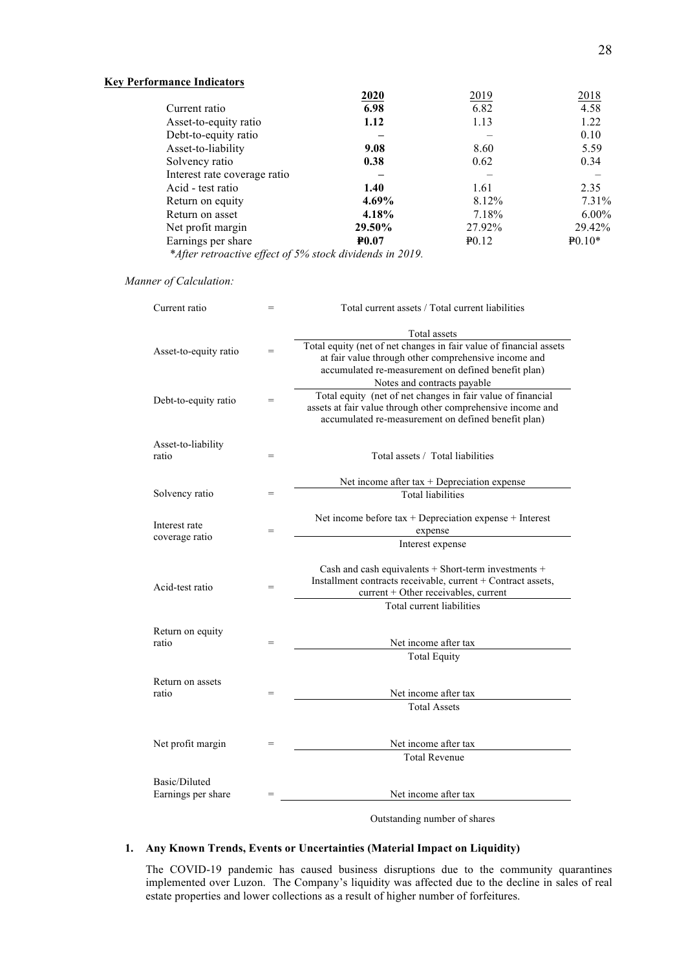# **Key Performance Indicators**

|                                                          | 2020             | 2019             | 2018     |
|----------------------------------------------------------|------------------|------------------|----------|
| Current ratio                                            | 6.98             | 6.82             | 4.58     |
| Asset-to-equity ratio                                    | 1.12             | 1.13             | 1.22     |
| Debt-to-equity ratio                                     |                  |                  | 0.10     |
| Asset-to-liability                                       | 9.08             | 8.60             | 5.59     |
| Solvency ratio                                           | 0.38             | 0.62             | 0.34     |
| Interest rate coverage ratio                             |                  |                  |          |
| Acid - test ratio                                        | 1.40             | 1.61             | 2.35     |
| Return on equity                                         | 4.69%            | 8.12%            | 7.31%    |
| Return on asset                                          | 4.18%            | 7.18%            | $6.00\%$ |
| Net profit margin                                        | 29.50%           | 27.92%           | 29.42%   |
| Earnings per share                                       | $\textbf{P0.07}$ | $\textbf{P}0.12$ | $40.10*$ |
| *After retroactive effect of 5% stock dividends in 2019. |                  |                  |          |

# *Manner of Calculation:*

| Current ratio                       | $=$ | Total current assets / Total current liabilities                                                                                                                                                                 |
|-------------------------------------|-----|------------------------------------------------------------------------------------------------------------------------------------------------------------------------------------------------------------------|
| Asset-to-equity ratio               | $=$ | Total assets<br>Total equity (net of net changes in fair value of financial assets<br>at fair value through other comprehensive income and<br>accumulated re-measurement on defined benefit plan)                |
| Debt-to-equity ratio                | =   | Notes and contracts payable<br>Total equity (net of net changes in fair value of financial<br>assets at fair value through other comprehensive income and<br>accumulated re-measurement on defined benefit plan) |
| Asset-to-liability<br>ratio         | $=$ | Total assets / Total liabilities                                                                                                                                                                                 |
| Solvency ratio                      | $=$ | Net income after $tax + Depreciation$ expense<br><b>Total liabilities</b>                                                                                                                                        |
| Interest rate<br>coverage ratio     | $=$ | Net income before tax + Depreciation expense + Interest<br>expense<br>Interest expense                                                                                                                           |
| Acid-test ratio                     | $=$ | Cash and cash equivalents + Short-term investments +<br>Installment contracts receivable, current + Contract assets,<br>current + Other receivables, current<br>Total current liabilities                        |
| Return on equity<br>ratio           | $=$ | Net income after tax<br><b>Total Equity</b>                                                                                                                                                                      |
| Return on assets<br>ratio           | $=$ | Net income after tax<br><b>Total Assets</b>                                                                                                                                                                      |
| Net profit margin                   | =   | Net income after tax<br><b>Total Revenue</b>                                                                                                                                                                     |
| Basic/Diluted<br>Earnings per share |     | Net income after tax<br>$\ddot{\phantom{a}}$                                                                                                                                                                     |

Outstanding number of shares

# **1. Any Known Trends, Events or Uncertainties (Material Impact on Liquidity)**

The COVID-19 pandemic has caused business disruptions due to the community quarantines implemented over Luzon. The Company's liquidity was affected due to the decline in sales of real estate properties and lower collections as a result of higher number of forfeitures.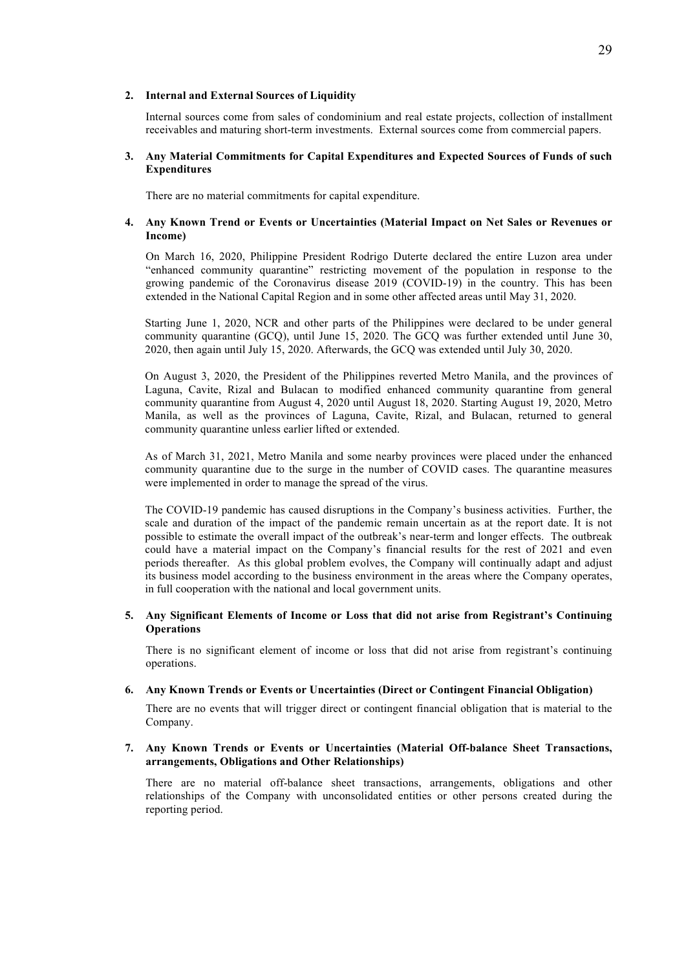#### **2. Internal and External Sources of Liquidity**

Internal sources come from sales of condominium and real estate projects, collection of installment receivables and maturing short-term investments. External sources come from commercial papers.

## **3. Any Material Commitments for Capital Expenditures and Expected Sources of Funds of such Expenditures**

There are no material commitments for capital expenditure.

#### **4. Any Known Trend or Events or Uncertainties (Material Impact on Net Sales or Revenues or Income)**

On March 16, 2020, Philippine President Rodrigo Duterte declared the entire Luzon area under "enhanced community quarantine" restricting movement of the population in response to the growing pandemic of the Coronavirus disease 2019 (COVID-19) in the country. This has been extended in the National Capital Region and in some other affected areas until May 31, 2020.

Starting June 1, 2020, NCR and other parts of the Philippines were declared to be under general community quarantine (GCQ), until June 15, 2020. The GCQ was further extended until June 30, 2020, then again until July 15, 2020. Afterwards, the GCQ was extended until July 30, 2020.

On August 3, 2020, the President of the Philippines reverted Metro Manila, and the provinces of Laguna, Cavite, Rizal and Bulacan to modified enhanced community quarantine from general community quarantine from August 4, 2020 until August 18, 2020. Starting August 19, 2020, Metro Manila, as well as the provinces of Laguna, Cavite, Rizal, and Bulacan, returned to general community quarantine unless earlier lifted or extended.

As of March 31, 2021, Metro Manila and some nearby provinces were placed under the enhanced community quarantine due to the surge in the number of COVID cases. The quarantine measures were implemented in order to manage the spread of the virus.

The COVID-19 pandemic has caused disruptions in the Company's business activities. Further, the scale and duration of the impact of the pandemic remain uncertain as at the report date. It is not possible to estimate the overall impact of the outbreak's near-term and longer effects. The outbreak could have a material impact on the Company's financial results for the rest of 2021 and even periods thereafter. As this global problem evolves, the Company will continually adapt and adjust its business model according to the business environment in the areas where the Company operates, in full cooperation with the national and local government units.

## **5. Any Significant Elements of Income or Loss that did not arise from Registrant's Continuing Operations**

There is no significant element of income or loss that did not arise from registrant's continuing operations.

#### **6. Any Known Trends or Events or Uncertainties (Direct or Contingent Financial Obligation)**

There are no events that will trigger direct or contingent financial obligation that is material to the Company.

# **7. Any Known Trends or Events or Uncertainties (Material Off-balance Sheet Transactions, arrangements, Obligations and Other Relationships)**

There are no material off-balance sheet transactions, arrangements, obligations and other relationships of the Company with unconsolidated entities or other persons created during the reporting period.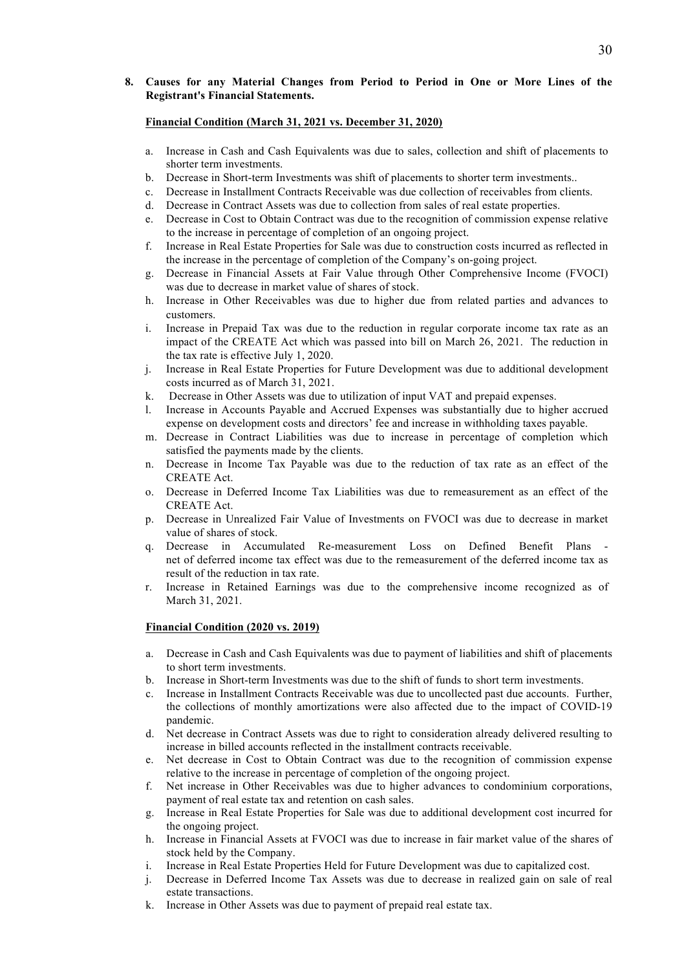# **8. Causes for any Material Changes from Period to Period in One or More Lines of the Registrant's Financial Statements.**

## **Financial Condition (March 31, 2021 vs. December 31, 2020)**

- a. Increase in Cash and Cash Equivalents was due to sales, collection and shift of placements to shorter term investments.
- b. Decrease in Short-term Investments was shift of placements to shorter term investments..
- c. Decrease in Installment Contracts Receivable was due collection of receivables from clients.
- d. Decrease in Contract Assets was due to collection from sales of real estate properties.
- e. Decrease in Cost to Obtain Contract was due to the recognition of commission expense relative to the increase in percentage of completion of an ongoing project.
- f. Increase in Real Estate Properties for Sale was due to construction costs incurred as reflected in the increase in the percentage of completion of the Company's on-going project.
- g. Decrease in Financial Assets at Fair Value through Other Comprehensive Income (FVOCI) was due to decrease in market value of shares of stock.
- h. Increase in Other Receivables was due to higher due from related parties and advances to customers.
- i. Increase in Prepaid Tax was due to the reduction in regular corporate income tax rate as an impact of the CREATE Act which was passed into bill on March 26, 2021. The reduction in the tax rate is effective July 1, 2020.
- j. Increase in Real Estate Properties for Future Development was due to additional development costs incurred as of March 31, 2021.
- k. Decrease in Other Assets was due to utilization of input VAT and prepaid expenses.
- l. Increase in Accounts Payable and Accrued Expenses was substantially due to higher accrued expense on development costs and directors' fee and increase in withholding taxes payable.
- m. Decrease in Contract Liabilities was due to increase in percentage of completion which satisfied the payments made by the clients.
- n. Decrease in Income Tax Payable was due to the reduction of tax rate as an effect of the CREATE Act.
- o. Decrease in Deferred Income Tax Liabilities was due to remeasurement as an effect of the CREATE Act.
- p. Decrease in Unrealized Fair Value of Investments on FVOCI was due to decrease in market value of shares of stock.
- q. Decrease in Accumulated Re-measurement Loss on Defined Benefit Plans net of deferred income tax effect was due to the remeasurement of the deferred income tax as result of the reduction in tax rate.
- r. Increase in Retained Earnings was due to the comprehensive income recognized as of March 31, 2021.

# **Financial Condition (2020 vs. 2019)**

- a. Decrease in Cash and Cash Equivalents was due to payment of liabilities and shift of placements to short term investments.
- b. Increase in Short-term Investments was due to the shift of funds to short term investments.
- c. Increase in Installment Contracts Receivable was due to uncollected past due accounts. Further, the collections of monthly amortizations were also affected due to the impact of COVID-19 pandemic.
- d. Net decrease in Contract Assets was due to right to consideration already delivered resulting to increase in billed accounts reflected in the installment contracts receivable.
- e. Net decrease in Cost to Obtain Contract was due to the recognition of commission expense relative to the increase in percentage of completion of the ongoing project.
- f. Net increase in Other Receivables was due to higher advances to condominium corporations, payment of real estate tax and retention on cash sales.
- g. Increase in Real Estate Properties for Sale was due to additional development cost incurred for the ongoing project.
- h. Increase in Financial Assets at FVOCI was due to increase in fair market value of the shares of stock held by the Company.
- i. Increase in Real Estate Properties Held for Future Development was due to capitalized cost.
- j. Decrease in Deferred Income Tax Assets was due to decrease in realized gain on sale of real estate transactions.
- k. Increase in Other Assets was due to payment of prepaid real estate tax.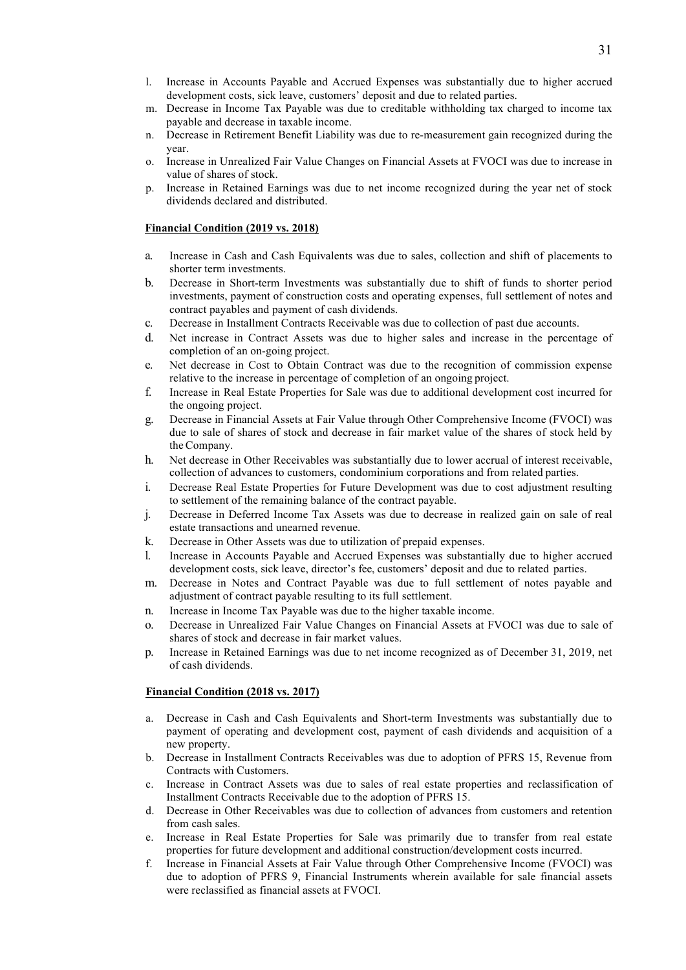- l. Increase in Accounts Payable and Accrued Expenses was substantially due to higher accrued development costs, sick leave, customers' deposit and due to related parties.
- m. Decrease in Income Tax Payable was due to creditable withholding tax charged to income tax payable and decrease in taxable income.
- n. Decrease in Retirement Benefit Liability was due to re-measurement gain recognized during the year.
- o. Increase in Unrealized Fair Value Changes on Financial Assets at FVOCI was due to increase in value of shares of stock.
- p. Increase in Retained Earnings was due to net income recognized during the year net of stock dividends declared and distributed.

#### **Financial Condition (2019 vs. 2018)**

- a. Increase in Cash and Cash Equivalents was due to sales, collection and shift of placements to shorter term investments.
- b. Decrease in Short-term Investments was substantially due to shift of funds to shorter period investments, payment of construction costs and operating expenses, full settlement of notes and contract payables and payment of cash dividends.
- c. Decrease in Installment Contracts Receivable was due to collection of past due accounts.
- d. Net increase in Contract Assets was due to higher sales and increase in the percentage of completion of an on-going project.
- e. Net decrease in Cost to Obtain Contract was due to the recognition of commission expense relative to the increase in percentage of completion of an ongoing project.
- f. Increase in Real Estate Properties for Sale was due to additional development cost incurred for the ongoing project.
- g. Decrease in Financial Assets at Fair Value through Other Comprehensive Income (FVOCI) was due to sale of shares of stock and decrease in fair market value of the shares of stock held by the Company.
- h. Net decrease in Other Receivables was substantially due to lower accrual of interest receivable, collection of advances to customers, condominium corporations and from related parties.
- i. Decrease Real Estate Properties for Future Development was due to cost adjustment resulting to settlement of the remaining balance of the contract payable.
- j. Decrease in Deferred Income Tax Assets was due to decrease in realized gain on sale of real estate transactions and unearned revenue.
- k. Decrease in Other Assets was due to utilization of prepaid expenses.
- l. Increase in Accounts Payable and Accrued Expenses was substantially due to higher accrued development costs, sick leave, director's fee, customers' deposit and due to related parties.
- m. Decrease in Notes and Contract Payable was due to full settlement of notes payable and adjustment of contract payable resulting to its full settlement.
- n. Increase in Income Tax Payable was due to the higher taxable income.
- o. Decrease in Unrealized Fair Value Changes on Financial Assets at FVOCI was due to sale of shares of stock and decrease in fair market values.
- p. Increase in Retained Earnings was due to net income recognized as of December 31, 2019, net of cash dividends.

#### **Financial Condition (2018 vs. 2017)**

- a. Decrease in Cash and Cash Equivalents and Short-term Investments was substantially due to payment of operating and development cost, payment of cash dividends and acquisition of a new property.
- b. Decrease in Installment Contracts Receivables was due to adoption of PFRS 15, Revenue from Contracts with Customers.
- c. Increase in Contract Assets was due to sales of real estate properties and reclassification of Installment Contracts Receivable due to the adoption of PFRS 15.
- d. Decrease in Other Receivables was due to collection of advances from customers and retention from cash sales.
- e. Increase in Real Estate Properties for Sale was primarily due to transfer from real estate properties for future development and additional construction/development costs incurred.
- f. Increase in Financial Assets at Fair Value through Other Comprehensive Income (FVOCI) was due to adoption of PFRS 9, Financial Instruments wherein available for sale financial assets were reclassified as financial assets at FVOCI.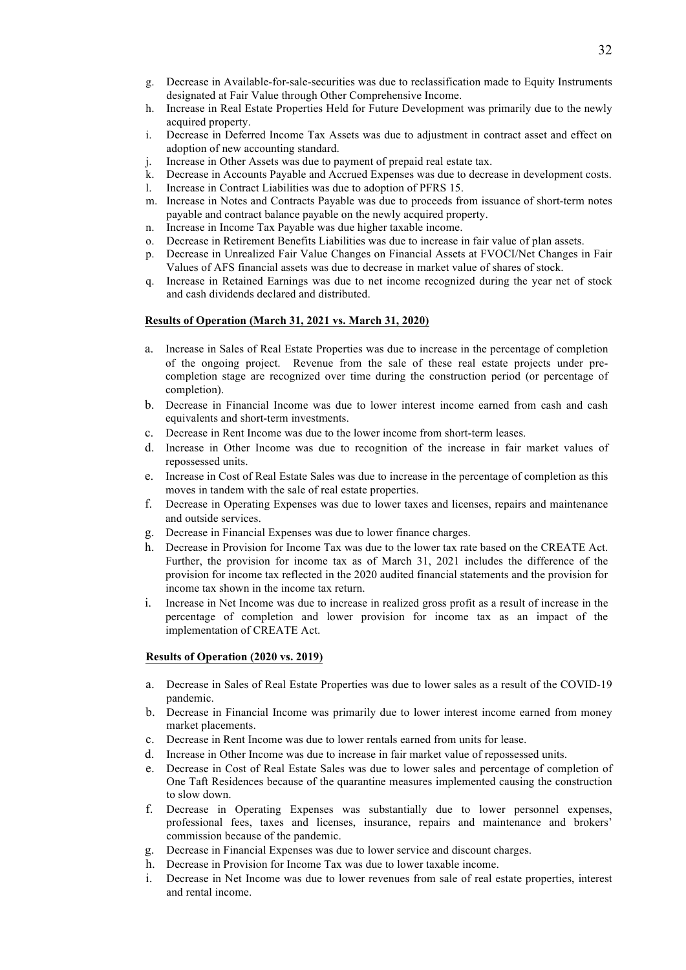- g. Decrease in Available-for-sale-securities was due to reclassification made to Equity Instruments designated at Fair Value through Other Comprehensive Income.
- h. Increase in Real Estate Properties Held for Future Development was primarily due to the newly acquired property.
- i. Decrease in Deferred Income Tax Assets was due to adjustment in contract asset and effect on adoption of new accounting standard.
- j. Increase in Other Assets was due to payment of prepaid real estate tax.
- k. Decrease in Accounts Payable and Accrued Expenses was due to decrease in development costs.
- l. Increase in Contract Liabilities was due to adoption of PFRS 15.
- m. Increase in Notes and Contracts Payable was due to proceeds from issuance of short-term notes payable and contract balance payable on the newly acquired property.
- n. Increase in Income Tax Payable was due higher taxable income.
- o. Decrease in Retirement Benefits Liabilities was due to increase in fair value of plan assets.
- p. Decrease in Unrealized Fair Value Changes on Financial Assets at FVOCI/Net Changes in Fair Values of AFS financial assets was due to decrease in market value of shares of stock.
- q. Increase in Retained Earnings was due to net income recognized during the year net of stock and cash dividends declared and distributed.

# **Results of Operation (March 31, 2021 vs. March 31, 2020)**

- a. Increase in Sales of Real Estate Properties was due to increase in the percentage of completion of the ongoing project. Revenue from the sale of these real estate projects under precompletion stage are recognized over time during the construction period (or percentage of completion).
- b. Decrease in Financial Income was due to lower interest income earned from cash and cash equivalents and short-term investments.
- c. Decrease in Rent Income was due to the lower income from short-term leases.
- d. Increase in Other Income was due to recognition of the increase in fair market values of repossessed units.
- e. Increase in Cost of Real Estate Sales was due to increase in the percentage of completion as this moves in tandem with the sale of real estate properties.
- f. Decrease in Operating Expenses was due to lower taxes and licenses, repairs and maintenance and outside services.
- g. Decrease in Financial Expenses was due to lower finance charges.
- h. Decrease in Provision for Income Tax was due to the lower tax rate based on the CREATE Act. Further, the provision for income tax as of March 31, 2021 includes the difference of the provision for income tax reflected in the 2020 audited financial statements and the provision for income tax shown in the income tax return.
- i. Increase in Net Income was due to increase in realized gross profit as a result of increase in the percentage of completion and lower provision for income tax as an impact of the implementation of CREATE Act.

#### **Results of Operation (2020 vs. 2019)**

- a. Decrease in Sales of Real Estate Properties was due to lower sales as a result of the COVID-19 pandemic.
- b. Decrease in Financial Income was primarily due to lower interest income earned from money market placements.
- c. Decrease in Rent Income was due to lower rentals earned from units for lease.
- d. Increase in Other Income was due to increase in fair market value of repossessed units.
- e. Decrease in Cost of Real Estate Sales was due to lower sales and percentage of completion of One Taft Residences because of the quarantine measures implemented causing the construction to slow down.
- f. Decrease in Operating Expenses was substantially due to lower personnel expenses, professional fees, taxes and licenses, insurance, repairs and maintenance and brokers' commission because of the pandemic.
- g. Decrease in Financial Expenses was due to lower service and discount charges.
- h. Decrease in Provision for Income Tax was due to lower taxable income.
- i. Decrease in Net Income was due to lower revenues from sale of real estate properties, interest and rental income.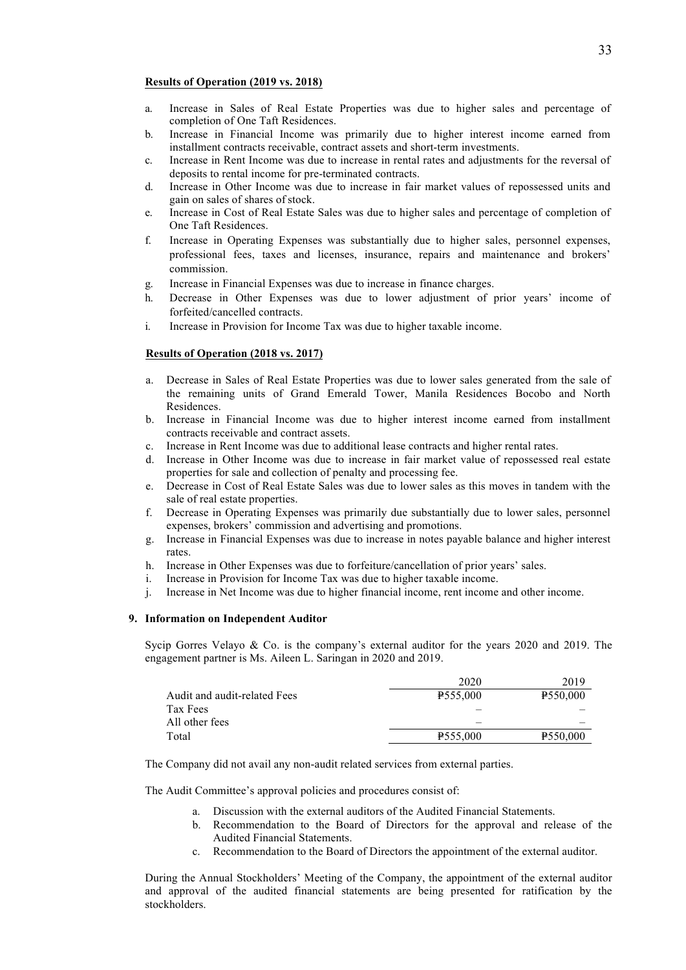# **Results of Operation (2019 vs. 2018)**

- a. Increase in Sales of Real Estate Properties was due to higher sales and percentage of completion of One Taft Residences.
- b. Increase in Financial Income was primarily due to higher interest income earned from installment contracts receivable, contract assets and short-term investments.
- c. Increase in Rent Income was due to increase in rental rates and adjustments for the reversal of deposits to rental income for pre-terminated contracts.
- d. Increase in Other Income was due to increase in fair market values of repossessed units and gain on sales of shares of stock.
- e. Increase in Cost of Real Estate Sales was due to higher sales and percentage of completion of One Taft Residences.
- f. Increase in Operating Expenses was substantially due to higher sales, personnel expenses, professional fees, taxes and licenses, insurance, repairs and maintenance and brokers' commission.
- g. Increase in Financial Expenses was due to increase in finance charges.
- h. Decrease in Other Expenses was due to lower adjustment of prior years' income of forfeited/cancelled contracts.
- i. Increase in Provision for Income Tax was due to higher taxable income.

#### **Results of Operation (2018 vs. 2017)**

- a. Decrease in Sales of Real Estate Properties was due to lower sales generated from the sale of the remaining units of Grand Emerald Tower, Manila Residences Bocobo and North Residences.
- b. Increase in Financial Income was due to higher interest income earned from installment contracts receivable and contract assets.
- c. Increase in Rent Income was due to additional lease contracts and higher rental rates.
- d. Increase in Other Income was due to increase in fair market value of repossessed real estate properties for sale and collection of penalty and processing fee.
- e. Decrease in Cost of Real Estate Sales was due to lower sales as this moves in tandem with the sale of real estate properties.
- f. Decrease in Operating Expenses was primarily due substantially due to lower sales, personnel expenses, brokers' commission and advertising and promotions.
- g. Increase in Financial Expenses was due to increase in notes payable balance and higher interest rates.
- h. Increase in Other Expenses was due to forfeiture/cancellation of prior years' sales.
- i. Increase in Provision for Income Tax was due to higher taxable income.
- j. Increase in Net Income was due to higher financial income, rent income and other income.

#### **9. Information on Independent Auditor**

Sycip Gorres Velayo & Co. is the company's external auditor for the years 2020 and 2019. The engagement partner is Ms. Aileen L. Saringan in 2020 and 2019.

| 2020            | 2019            |
|-----------------|-----------------|
| <b>P555,000</b> | <b>P550,000</b> |
|                 |                 |
|                 |                 |
| <b>P555.000</b> | <b>₽550,000</b> |
|                 |                 |

The Company did not avail any non-audit related services from external parties.

The Audit Committee's approval policies and procedures consist of:

- a. Discussion with the external auditors of the Audited Financial Statements.
- b. Recommendation to the Board of Directors for the approval and release of the Audited Financial Statements.
- c. Recommendation to the Board of Directors the appointment of the external auditor.

During the Annual Stockholders' Meeting of the Company, the appointment of the external auditor and approval of the audited financial statements are being presented for ratification by the stockholders.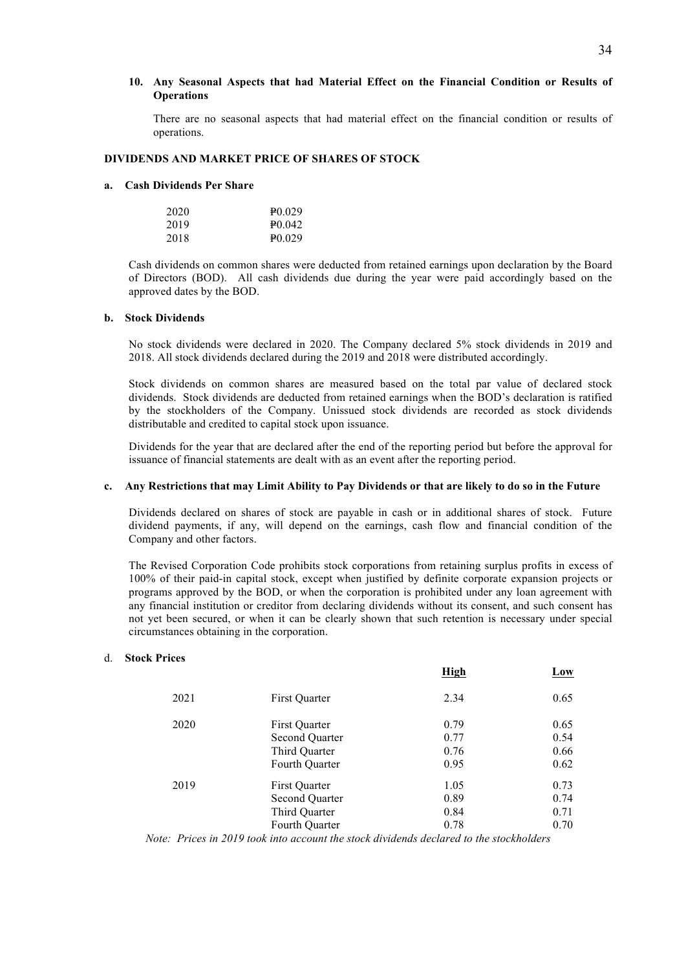# **10. Any Seasonal Aspects that had Material Effect on the Financial Condition or Results of Operations**

There are no seasonal aspects that had material effect on the financial condition or results of operations.

# **DIVIDENDS AND MARKET PRICE OF SHARES OF STOCK**

## **a. Cash Dividends Per Share**

| 2020 | 40.029      |
|------|-------------|
| 2019 | $P_{0.042}$ |
| 2018 | 40.029      |

Cash dividends on common shares were deducted from retained earnings upon declaration by the Board of Directors (BOD). All cash dividends due during the year were paid accordingly based on the approved dates by the BOD.

#### **b. Stock Dividends**

No stock dividends were declared in 2020. The Company declared 5% stock dividends in 2019 and 2018. All stock dividends declared during the 2019 and 2018 were distributed accordingly.

Stock dividends on common shares are measured based on the total par value of declared stock dividends. Stock dividends are deducted from retained earnings when the BOD's declaration is ratified by the stockholders of the Company. Unissued stock dividends are recorded as stock dividends distributable and credited to capital stock upon issuance.

Dividends for the year that are declared after the end of the reporting period but before the approval for issuance of financial statements are dealt with as an event after the reporting period.

## **c. Any Restrictions that may Limit Ability to Pay Dividends or that are likely to do so in the Future**

Dividends declared on shares of stock are payable in cash or in additional shares of stock. Future dividend payments, if any, will depend on the earnings, cash flow and financial condition of the Company and other factors.

The Revised Corporation Code prohibits stock corporations from retaining surplus profits in excess of 100% of their paid-in capital stock, except when justified by definite corporate expansion projects or programs approved by the BOD, or when the corporation is prohibited under any loan agreement with any financial institution or creditor from declaring dividends without its consent, and such consent has not yet been secured, or when it can be clearly shown that such retention is necessary under special circumstances obtaining in the corporation.

## d. **Stock Prices**

|                | <b>High</b> | Low  |
|----------------|-------------|------|
| First Quarter  | 2.34        | 0.65 |
| First Quarter  | 0.79        | 0.65 |
| Second Quarter | 0.77        | 0.54 |
| Third Quarter  | 0.76        | 0.66 |
| Fourth Quarter | 0.95        | 0.62 |
| First Quarter  | 1.05        | 0.73 |
| Second Quarter | 0.89        | 0.74 |
| Third Quarter  | 0.84        | 0.71 |
| Fourth Quarter | 0.78        | 0.70 |
|                |             |      |

*Note: Prices in 2019 took into account the stock dividends declared to the stockholders*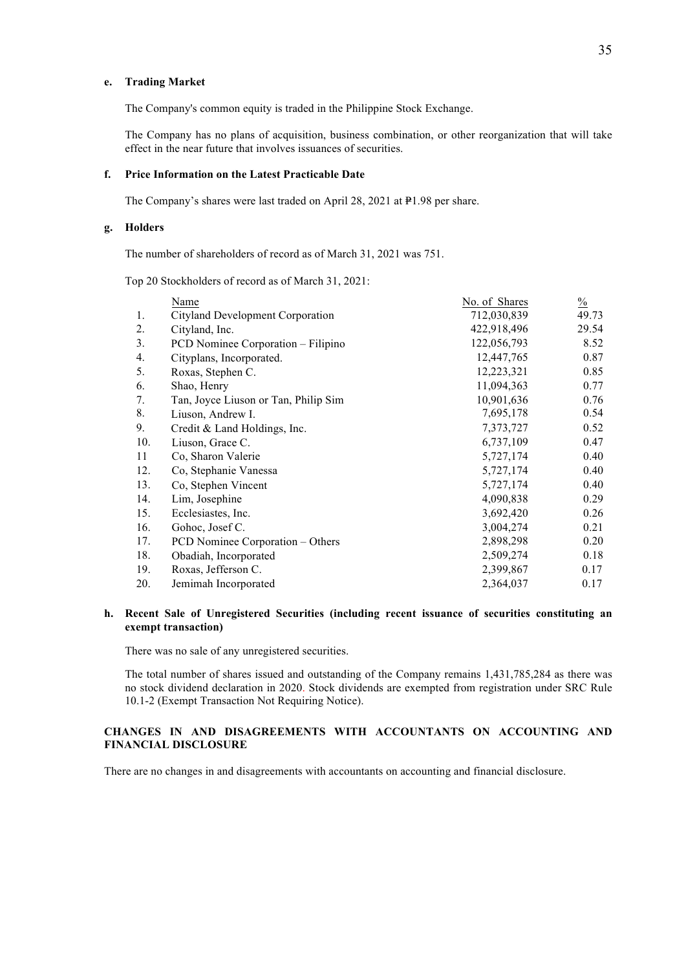# **e. Trading Market**

The Company's common equity is traded in the Philippine Stock Exchange.

The Company has no plans of acquisition, business combination, or other reorganization that will take effect in the near future that involves issuances of securities.

#### **f. Price Information on the Latest Practicable Date**

The Company's shares were last traded on April 28, 2021 at P1.98 per share.

# **g. Holders**

The number of shareholders of record as of March 31, 2021 was 751.

Top 20 Stockholders of record as of March 31, 2021:

|     | Name                                 | No. of Shares | $\frac{0}{0}$ |
|-----|--------------------------------------|---------------|---------------|
| 1.  | Cityland Development Corporation     | 712,030,839   | 49.73         |
| 2.  | Cityland, Inc.                       | 422,918,496   | 29.54         |
| 3.  | PCD Nominee Corporation – Filipino   | 122,056,793   | 8.52          |
| 4.  | Cityplans, Incorporated.             | 12,447,765    | 0.87          |
| 5.  | Roxas, Stephen C.                    | 12,223,321    | 0.85          |
| 6.  | Shao, Henry                          | 11,094,363    | 0.77          |
| 7.  | Tan, Joyce Liuson or Tan, Philip Sim | 10,901,636    | 0.76          |
| 8.  | Liuson, Andrew I.                    | 7,695,178     | 0.54          |
| 9.  | Credit & Land Holdings, Inc.         | 7,373,727     | 0.52          |
| 10. | Liuson, Grace C.                     | 6,737,109     | 0.47          |
| 11  | Co, Sharon Valerie                   | 5,727,174     | 0.40          |
| 12. | Co, Stephanie Vanessa                | 5,727,174     | 0.40          |
| 13. | Co, Stephen Vincent                  | 5,727,174     | 0.40          |
| 14. | Lim, Josephine                       | 4,090,838     | 0.29          |
| 15. | Ecclesiastes, Inc.                   | 3,692,420     | 0.26          |
| 16. | Gohoc, Josef C.                      | 3,004,274     | 0.21          |
| 17. | PCD Nominee Corporation - Others     | 2,898,298     | 0.20          |
| 18. | Obadiah, Incorporated                | 2,509,274     | 0.18          |
| 19. | Roxas, Jefferson C.                  | 2,399,867     | 0.17          |
| 20. | Jemimah Incorporated                 | 2,364,037     | 0.17          |
|     |                                      |               |               |

# **h. Recent Sale of Unregistered Securities (including recent issuance of securities constituting an exempt transaction)**

There was no sale of any unregistered securities.

The total number of shares issued and outstanding of the Company remains 1,431,785,284 as there was no stock dividend declaration in 2020. Stock dividends are exempted from registration under SRC Rule 10.1-2 (Exempt Transaction Not Requiring Notice).

# **CHANGES IN AND DISAGREEMENTS WITH ACCOUNTANTS ON ACCOUNTING AND FINANCIAL DISCLOSURE**

There are no changes in and disagreements with accountants on accounting and financial disclosure.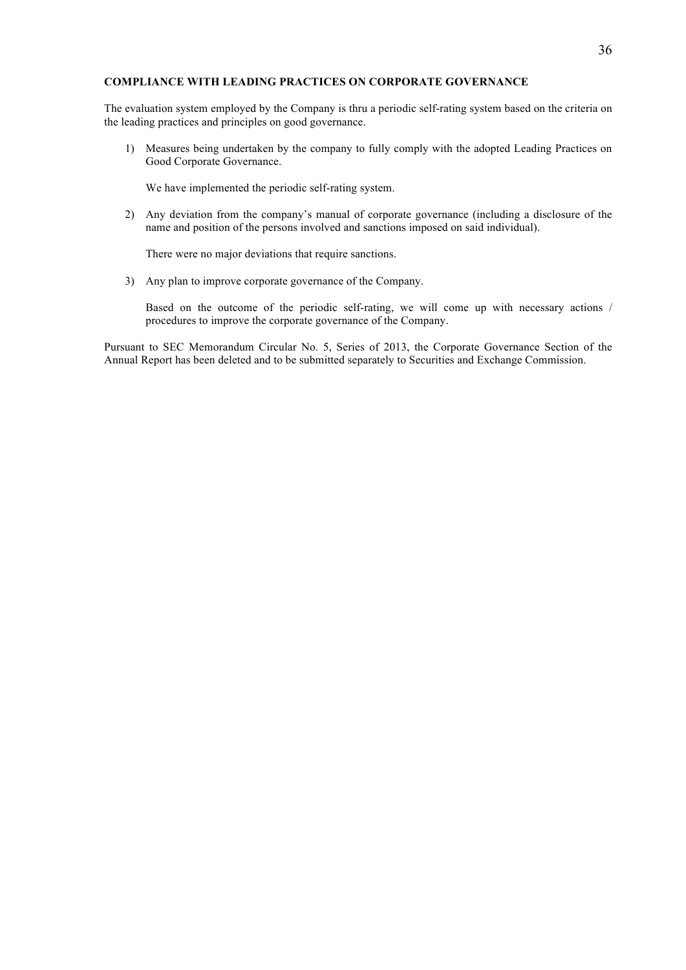# **COMPLIANCE WITH LEADING PRACTICES ON CORPORATE GOVERNANCE**

The evaluation system employed by the Company is thru a periodic self-rating system based on the criteria on the leading practices and principles on good governance.

1) Measures being undertaken by the company to fully comply with the adopted Leading Practices on Good Corporate Governance.

We have implemented the periodic self-rating system.

2) Any deviation from the company's manual of corporate governance (including a disclosure of the name and position of the persons involved and sanctions imposed on said individual).

There were no major deviations that require sanctions.

3) Any plan to improve corporate governance of the Company.

Based on the outcome of the periodic self-rating, we will come up with necessary actions / procedures to improve the corporate governance of the Company.

Pursuant to SEC Memorandum Circular No. 5, Series of 2013, the Corporate Governance Section of the Annual Report has been deleted and to be submitted separately to Securities and Exchange Commission.